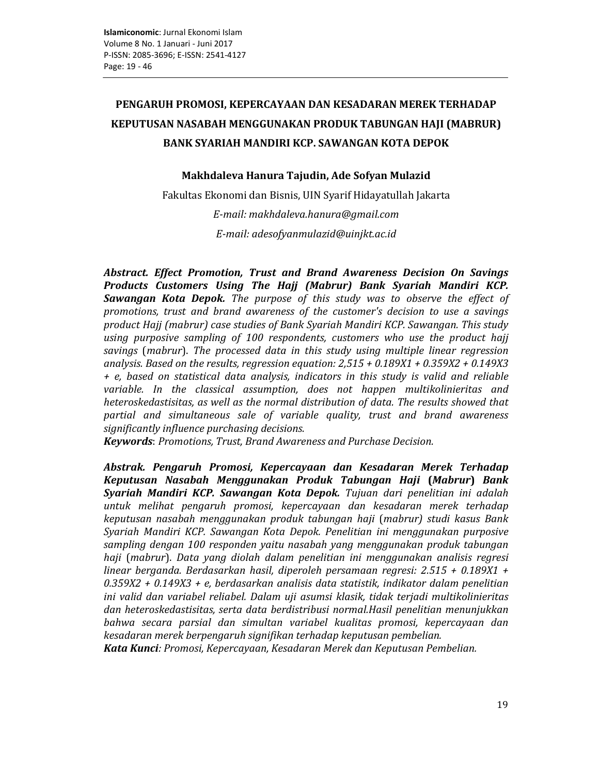# PENGARUH PROMOSI, KEPERCAYAAN DAN KESADARAN MEREK TERHADAP KEPUTUSAN NASABAH MENGGUNAKAN PRODUK TABUNGAN HAJI (MABRUR) **BANK SYARIAH MANDIRI KCP. SAWANGAN KOTA DEPOK**

# Makhdaleva Hanura Tajudin, Ade Sofyan Mulazid

Fakultas Ekonomi dan Bisnis, UIN Syarif Hidayatullah Jakarta

E-mail: makhdaleva.hanura@gmail.com E-mail: adesofyanmulazid@uinjkt.ac.id

Abstract. Effect Promotion, Trust and Brand Awareness Decision On Savings Products Customers Using The Hajj (Mabrur) Bank Syariah Mandiri KCP. Sawangan Kota Depok. The purpose of this study was to observe the effect of promotions, trust and brand awareness of the customer's decision to use a savings product Hajj (mabrur) case studies of Bank Syariah Mandiri KCP. Sawangan. This study using purposive sampling of 100 respondents, customers who use the product hajj savings (mabrur). The processed data in this study using multiple linear regression analysis. Based on the results, regression equation:  $2,515 + 0.189X1 + 0.359X2 + 0.149X3$ + e, based on statistical data analysis, indicators in this study is valid and reliable variable. In the classical assumption, does not happen multikolinieritas and heteroskedastisitas, as well as the normal distribution of data. The results showed that partial and simultaneous sale of variable quality, trust and brand awareness significantly influence purchasing decisions.

Keywords: Promotions, Trust, Brand Awareness and Purchase Decision.

Abstrak. Pengaruh Promosi, Kepercayaan dan Kesadaran Merek Terhadap Keputusan Nasabah Menggunakan Produk Tabungan Haji (Mabrur) Bank Syariah Mandiri KCP. Sawangan Kota Depok. Tujuan dari penelitian ini adalah untuk melihat pengaruh promosi, kepercayaan dan kesadaran merek terhadap keputusan nasabah menggunakan produk tabungan haji (mabrur) studi kasus Bank Syariah Mandiri KCP. Sawangan Kota Depok. Penelitian ini menggunakan purposive sampling dengan 100 responden yaitu nasabah yang menggunakan produk tabungan haji (mabrur). Data yang diolah dalam penelitian ini menggunakan analisis regresi linear berganda. Berdasarkan hasil, diperoleh persamaan regresi:  $2.515 + 0.189X1 +$  $0.359X2 + 0.149X3 + e$ , berdasarkan analisis data statistik, indikator dalam penelitian ini valid dan variabel reliabel. Dalam uji asumsi klasik, tidak terjadi multikolinieritas dan heteroskedastisitas, serta data berdistribusi normal.Hasil penelitian menunjukkan bahwa secara parsial dan simultan variabel kualitas promosi, kepercayaan dan kesadaran merek berpengaruh signifikan terhadap keputusan pembelian.

Kata Kunci: Promosi, Kepercayaan, Kesadaran Merek dan Keputusan Pembelian.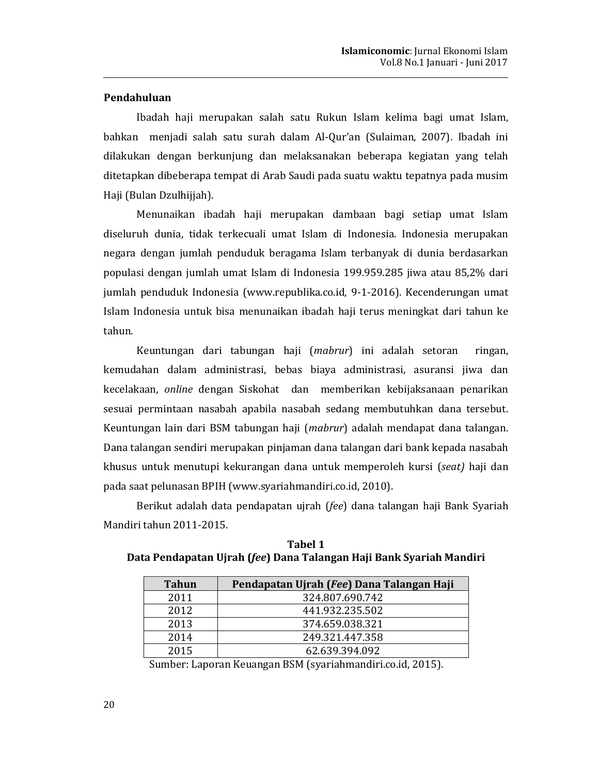# Pendahuluan

Ibadah haji merupakan salah satu Rukun Islam kelima bagi umat Islam, bahkan menjadi salah satu surah dalam Al-Qur'an (Sulaiman, 2007). Ibadah ini dilakukan dengan berkunjung dan melaksanakan beberapa kegiatan yang telah ditetapkan dibeberapa tempat di Arab Saudi pada suatu waktu tepatnya pada musim Haji (Bulan Dzulhijjah).

Menunaikan ibadah haji merupakan dambaan bagi setiap umat Islam diseluruh dunia, tidak terkecuali umat Islam di Indonesia. Indonesia merupakan negara dengan jumlah penduduk beragama Islam terbanyak di dunia berdasarkan populasi dengan jumlah umat Islam di Indonesia 199.959.285 jiwa atau 85,2% dari jumlah penduduk Indonesia (www.republika.co.id, 9-1-2016). Kecenderungan umat Islam Indonesia untuk bisa menunaikan ibadah haji terus meningkat dari tahun ke tahun.

Keuntungan dari tabungan haji (*mabrur*) ini adalah setoran ringan, kemudahan dalam administrasi, bebas biaya administrasi, asuransi jiwa dan kecelakaan, *online* dengan Siskohat dan memberikan kebijaksanaan penarikan sesuai permintaan nasabah apabila nasabah sedang membutuhkan dana tersebut. Keuntungan lain dari BSM tabungan haji (*mabrur*) adalah mendapat dana talangan. Dana talangan sendiri merupakan pinjaman dana talangan dari bank kepada nasabah khusus untuk menutupi kekurangan dana untuk memperoleh kursi (seat) haji dan pada saat pelunasan BPIH (www.syariahmandiri.co.id, 2010).

Berikut adalah data pendapatan ujrah (fee) dana talangan haji Bank Syariah Mandiri tahun 2011-2015.

| <b>Tahun</b> | Pendapatan Ujrah (Fee) Dana Talangan Haji |
|--------------|-------------------------------------------|
| 2011         | 324.807.690.742                           |
| 2012         | 441.932.235.502                           |
| 2013         | 374.659.038.321                           |
| 2014         | 249.321.447.358                           |
| 2015         | 62.639.394.092                            |

**Tabel 1** Data Pendapatan Ujrah (fee) Dana Talangan Haji Bank Syariah Mandiri

Sumber: Laporan Keuangan BSM (syariahmandiri.co.id, 2015).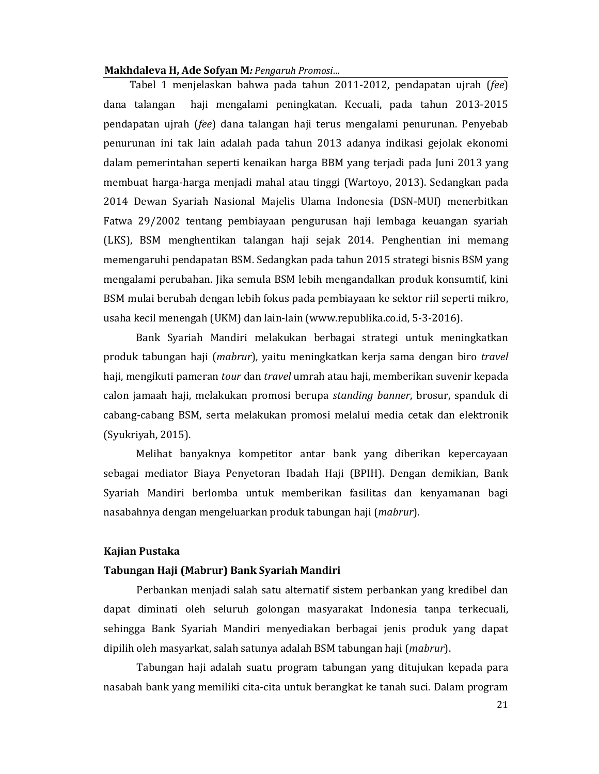Tabel 1 menjelaskan bahwa pada tahun 2011-2012, pendapatan ujrah (fee) dana talangan haji mengalami peningkatan. Kecuali, pada tahun 2013-2015 pendapatan ujrah (fee) dana talangan haji terus mengalami penurunan. Penyebab penurunan ini tak lain adalah pada tahun 2013 adanya indikasi gejolak ekonomi dalam pemerintahan seperti kenaikan harga BBM yang terjadi pada Juni 2013 yang membuat harga-harga menjadi mahal atau tinggi (Wartoyo, 2013). Sedangkan pada 2014 Dewan Syariah Nasional Majelis Ulama Indonesia (DSN-MUI) menerbitkan Fatwa 29/2002 tentang pembiayaan pengurusan haji lembaga keuangan syariah (LKS), BSM menghentikan talangan haji sejak 2014. Penghentian ini memang memengaruhi pendapatan BSM. Sedangkan pada tahun 2015 strategi bisnis BSM yang mengalami perubahan. Jika semula BSM lebih mengandalkan produk konsumtif, kini BSM mulai berubah dengan lebih fokus pada pembiayaan ke sektor riil seperti mikro, usaha kecil menengah (UKM) dan lain-lain (www.republika.co.id, 5-3-2016).

Bank Syariah Mandiri melakukan berbagai strategi untuk meningkatkan produk tabungan haji (*mabrur*), yaitu meningkatkan kerja sama dengan biro *travel* haji, mengikuti pameran tour dan travel umrah atau haji, memberikan suvenir kepada calon jamaah haji, melakukan promosi berupa standing banner, brosur, spanduk di cabang-cabang BSM, serta melakukan promosi melalui media cetak dan elektronik (Syukriyah, 2015).

Melihat banyaknya kompetitor antar bank yang diberikan kepercayaan sebagai mediator Biaya Penyetoran Ibadah Haji (BPIH). Dengan demikian, Bank Syariah Mandiri berlomba untuk memberikan fasilitas dan kenyamanan bagi nasabahnya dengan mengeluarkan produk tabungan haji (*mabrur*).

# Kajian Pustaka

## Tabungan Haji (Mabrur) Bank Syariah Mandiri

Perbankan menjadi salah satu alternatif sistem perbankan yang kredibel dan dapat diminati oleh seluruh golongan masyarakat Indonesia tanpa terkecuali, sehingga Bank Syariah Mandiri menyediakan berbagai jenis produk yang dapat dipilih oleh masyarkat, salah satunya adalah BSM tabungan haji (mabrur).

Tabungan haji adalah suatu program tabungan yang ditujukan kepada para nasabah bank yang memiliki cita-cita untuk berangkat ke tanah suci. Dalam program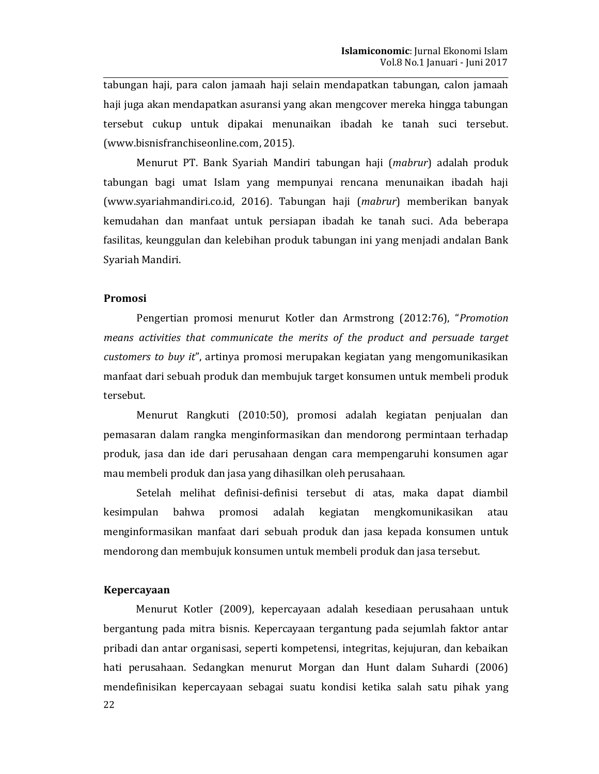tabungan haji, para calon jamaah haji selain mendapatkan tabungan, calon jamaah haji juga akan mendapatkan asuransi yang akan mengcover mereka hingga tabungan tersebut cukup untuk dipakai menunaikan ibadah ke tanah suci tersebut. (www.bisnisfranchiseonline.com, 2015).

Menurut PT. Bank Syariah Mandiri tabungan haji (mabrur) adalah produk tabungan bagi umat Islam yang mempunyai rencana menunaikan ibadah haji (www.syariahmandiri.co.id, 2016). Tabungan haji (*mabrur*) memberikan banyak kemudahan dan manfaat untuk persiapan ibadah ke tanah suci. Ada beberapa fasilitas, keunggulan dan kelebihan produk tabungan ini yang menjadi andalan Bank Svariah Mandiri.

# Promosi

Pengertian promosi menurut Kotler dan Armstrong (2012:76), "Promotion means activities that communicate the merits of the product and persuade target customers to buy it", artinya promosi merupakan kegiatan yang mengomunikasikan manfaat dari sebuah produk dan membujuk target konsumen untuk membeli produk tersebut.

Menurut Rangkuti (2010:50), promosi adalah kegiatan penjualan dan pemasaran dalam rangka menginformasikan dan mendorong permintaan terhadap produk, jasa dan ide dari perusahaan dengan cara mempengaruhi konsumen agar mau membeli produk dan jasa yang dihasilkan oleh perusahaan.

Setelah melihat definisi-definisi tersebut di atas, maka dapat diambil adalah kegiatan mengkomunikasikan atau kesimpulan bahwa promosi menginformasikan manfaat dari sebuah produk dan jasa kepada konsumen untuk mendorong dan membujuk konsumen untuk membeli produk dan jasa tersebut.

### **Kepercayaan**

Menurut Kotler (2009), kepercayaan adalah kesediaan perusahaan untuk bergantung pada mitra bisnis. Kepercayaan tergantung pada sejumlah faktor antar pribadi dan antar organisasi, seperti kompetensi, integritas, kejujuran, dan kebaikan hati perusahaan. Sedangkan menurut Morgan dan Hunt dalam Suhardi (2006) mendefinisikan kepercayaan sebagai suatu kondisi ketika salah satu pihak yang 22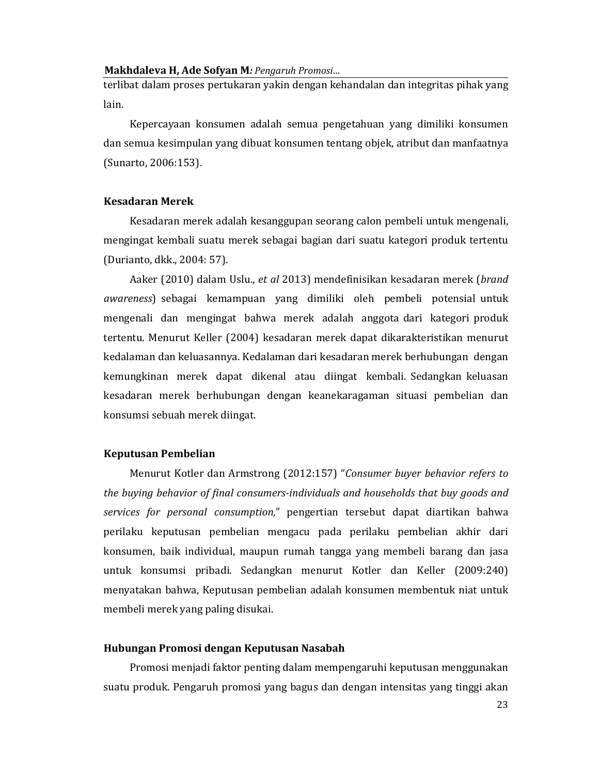terlibat dalam proses pertukaran yakin dengan kehandalan dan integritas pihak yang lain.

Kepercayaan konsumen adalah semua pengetahuan yang dimiliki konsumen dan semua kesimpulan yang dibuat konsumen tentang objek, atribut dan manfaatnya (Sunarto, 2006:153).

## **Kesadaran Merek**

Kesadaran merek adalah kesanggupan seorang calon pembeli untuk mengenali, mengingat kembali suatu merek sebagai bagian dari suatu kategori produk tertentu (Durianto, dkk., 2004: 57).

Aaker (2010) dalam Uslu., et al 2013) mendefinisikan kesadaran merek (brand awareness) sebagai kemampuan yang dimiliki oleh pembeli potensial untuk mengenali dan mengingat bahwa merek adalah anggota dari kategori produk tertentu. Menurut Keller (2004) kesadaran merek dapat dikarakteristikan menurut kedalaman dan keluasannya. Kedalaman dari kesadaran merek berhubungan dengan kemungkinan merek dapat dikenal atau diingat kembali. Sedangkan keluasan kesadaran merek berhubungan dengan keanekaragaman situasi pembelian dan konsumsi sebuah merek diingat.

## **Keputusan Pembelian**

Menurut Kotler dan Armstrong (2012:157) "Consumer buyer behavior refers to the buying behavior of final consumers-individuals and households that buy goods and services for personal consumption," pengertian tersebut dapat diartikan bahwa perilaku keputusan pembelian mengacu pada perilaku pembelian akhir dari konsumen, baik individual, maupun rumah tangga yang membeli barang dan jasa untuk konsumsi pribadi. Sedangkan menurut Kotler dan Keller (2009:240) menyatakan bahwa, Keputusan pembelian adalah konsumen membentuk niat untuk membeli merek yang paling disukai.

## Hubungan Promosi dengan Keputusan Nasabah

Promosi menjadi faktor penting dalam mempengaruhi keputusan menggunakan suatu produk. Pengaruh promosi yang bagus dan dengan intensitas yang tinggi akan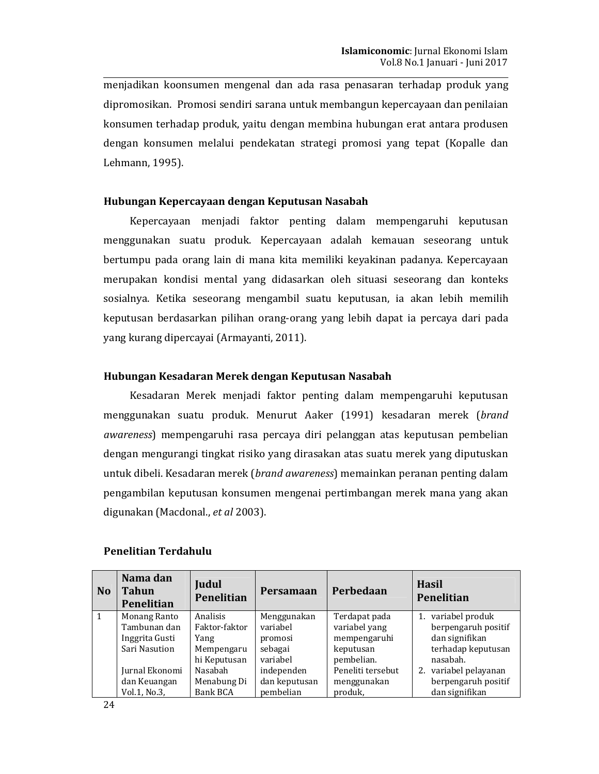menjadikan koonsumen mengenal dan ada rasa penasaran terhadap produk yang dipromosikan. Promosi sendiri sarana untuk membangun kepercayaan dan penilaian konsumen terhadap produk, yaitu dengan membina hubungan erat antara produsen dengan konsumen melalui pendekatan strategi promosi yang tepat (Kopalle dan Lehmann. 1995).

# Hubungan Kepercayaan dengan Keputusan Nasabah

Kepercayaan menjadi faktor penting dalam mempengaruhi keputusan menggunakan suatu produk. Kepercayaan adalah kemauan seseorang untuk bertumpu pada orang lain di mana kita memiliki keyakinan padanya. Kepercayaan merupakan kondisi mental yang didasarkan oleh situasi seseorang dan konteks sosialnya. Ketika seseorang mengambil suatu keputusan, ia akan lebih memilih keputusan berdasarkan pilihan orang-orang yang lebih dapat ia percaya dari pada yang kurang dipercayai (Armayanti, 2011).

# Hubungan Kesadaran Merek dengan Keputusan Nasabah

Kesadaran Merek menjadi faktor penting dalam mempengaruhi keputusan menggunakan suatu produk. Menurut Aaker (1991) kesadaran merek (brand awareness) mempengaruhi rasa percaya diri pelanggan atas keputusan pembelian dengan mengurangi tingkat risiko yang dirasakan atas suatu merek yang diputuskan untuk dibeli. Kesadaran merek (brand awareness) memainkan peranan penting dalam pengambilan keputusan konsumen mengenai pertimbangan merek mana yang akan digunakan (Macdonal., et al 2003).

| N <sub>o</sub> | Nama dan<br><b>Tahun</b><br>Penelitian | Judul<br>Penelitian | Persamaan     | Perbedaan         | <b>Hasil</b><br>Penelitian |
|----------------|----------------------------------------|---------------------|---------------|-------------------|----------------------------|
| $\mathbf{1}$   | Monang Ranto                           | Analisis            | Menggunakan   | Terdapat pada     | 1. variabel produk         |
|                | Tambunan dan                           | Faktor-faktor       | variabel      | variabel yang     | berpengaruh positif        |
|                | Inggrita Gusti                         | Yang                | promosi       | mempengaruhi      | dan signifikan             |
|                | Sari Nasution                          | Mempengaru          | sebagai       | keputusan         | terhadap keputusan         |
|                |                                        | hi Keputusan        | variabel      | pembelian.        | nasabah.                   |
|                | Jurnal Ekonomi                         | Nasabah             | independen    | Peneliti tersebut | 2. variabel pelayanan      |
|                | dan Keuangan                           | Menabung Di         | dan keputusan | menggunakan       | berpengaruh positif        |
|                | Vol.1, No.3,                           | <b>Bank BCA</b>     | pembelian     | produk,           | dan signifikan             |

### **Penelitian Terdahulu**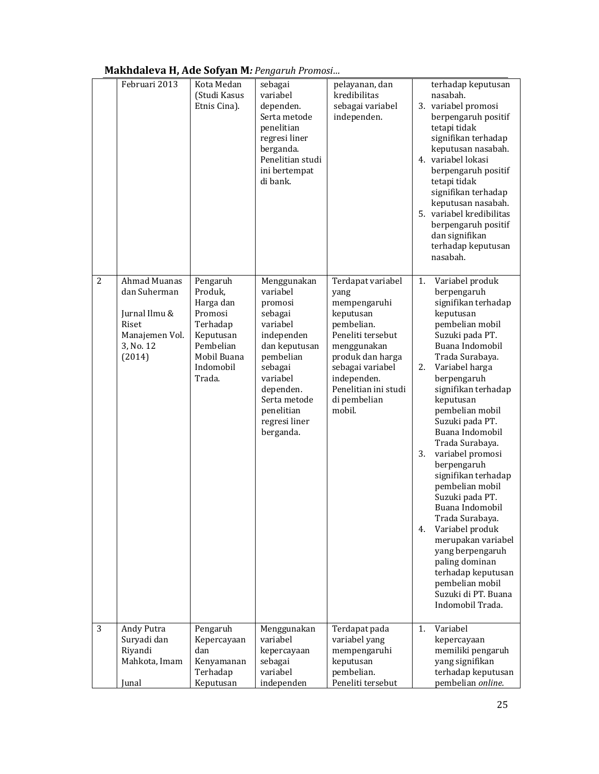| Makhdaleva H, Ade Sofyan M: Pengaruh Promosi |
|----------------------------------------------|
|----------------------------------------------|

|                | Februari 2013                                                                                   | Kota Medan<br>(Studi Kasus<br>Etnis Cina).                                                                              | sebagai<br>variabel<br>dependen.<br>Serta metode<br>penelitian<br>regresi liner<br>berganda.<br>Penelitian studi<br>ini bertempat<br>di bank.                                                         | pelayanan, dan<br>kredibilitas<br>sebagai variabel<br>independen.                                                                                                                                                 | terhadap keputusan<br>nasabah.<br>3. variabel promosi<br>berpengaruh positif<br>tetapi tidak<br>signifikan terhadap<br>keputusan nasabah.<br>4. variabel lokasi<br>berpengaruh positif<br>tetapi tidak<br>signifikan terhadap<br>keputusan nasabah.<br>5. variabel kredibilitas<br>berpengaruh positif<br>dan signifikan<br>terhadap keputusan<br>nasabah.                                                                                                                                                                                                                                                                       |
|----------------|-------------------------------------------------------------------------------------------------|-------------------------------------------------------------------------------------------------------------------------|-------------------------------------------------------------------------------------------------------------------------------------------------------------------------------------------------------|-------------------------------------------------------------------------------------------------------------------------------------------------------------------------------------------------------------------|----------------------------------------------------------------------------------------------------------------------------------------------------------------------------------------------------------------------------------------------------------------------------------------------------------------------------------------------------------------------------------------------------------------------------------------------------------------------------------------------------------------------------------------------------------------------------------------------------------------------------------|
| $\overline{2}$ | Ahmad Muanas<br>dan Suherman<br>Jurnal Ilmu &<br>Riset<br>Manajemen Vol.<br>3, No. 12<br>(2014) | Pengaruh<br>Produk,<br>Harga dan<br>Promosi<br>Terhadap<br>Keputusan<br>Pembelian<br>Mobil Buana<br>Indomobil<br>Trada. | Menggunakan<br>variabel<br>promosi<br>sebagai<br>variabel<br>independen<br>dan keputusan<br>pembelian<br>sebagai<br>variabel<br>dependen.<br>Serta metode<br>penelitian<br>regresi liner<br>berganda. | Terdapat variabel<br>yang<br>mempengaruhi<br>keputusan<br>pembelian.<br>Peneliti tersebut<br>menggunakan<br>produk dan harga<br>sebagai variabel<br>independen.<br>Penelitian ini studi<br>di pembelian<br>mobil. | Variabel produk<br>1.<br>berpengaruh<br>signifikan terhadap<br>keputusan<br>pembelian mobil<br>Suzuki pada PT.<br>Buana Indomobil<br>Trada Surabaya.<br>Variabel harga<br>2.<br>berpengaruh<br>signifikan terhadap<br>keputusan<br>pembelian mobil<br>Suzuki pada PT.<br>Buana Indomobil<br>Trada Surabaya.<br>variabel promosi<br>3.<br>berpengaruh<br>signifikan terhadap<br>pembelian mobil<br>Suzuki pada PT.<br>Buana Indomobil<br>Trada Surabaya.<br>Variabel produk<br>4.<br>merupakan variabel<br>yang berpengaruh<br>paling dominan<br>terhadap keputusan<br>pembelian mobil<br>Suzuki di PT. Buana<br>Indomobil Trada. |
| 3              | Andy Putra<br>Suryadi dan<br>Riyandi<br>Mahkota, Imam<br>Junal                                  | Pengaruh<br>Kepercayaan<br>dan<br>Kenyamanan<br>Terhadap<br>Keputusan                                                   | Menggunakan<br>variabel<br>kepercayaan<br>sebagai<br>variabel<br>independen                                                                                                                           | Terdapat pada<br>variabel yang<br>mempengaruhi<br>keputusan<br>pembelian.<br>Peneliti tersebut                                                                                                                    | Variabel<br>1.<br>kepercayaan<br>memiliki pengaruh<br>yang signifikan<br>terhadap keputusan<br>pembelian online.                                                                                                                                                                                                                                                                                                                                                                                                                                                                                                                 |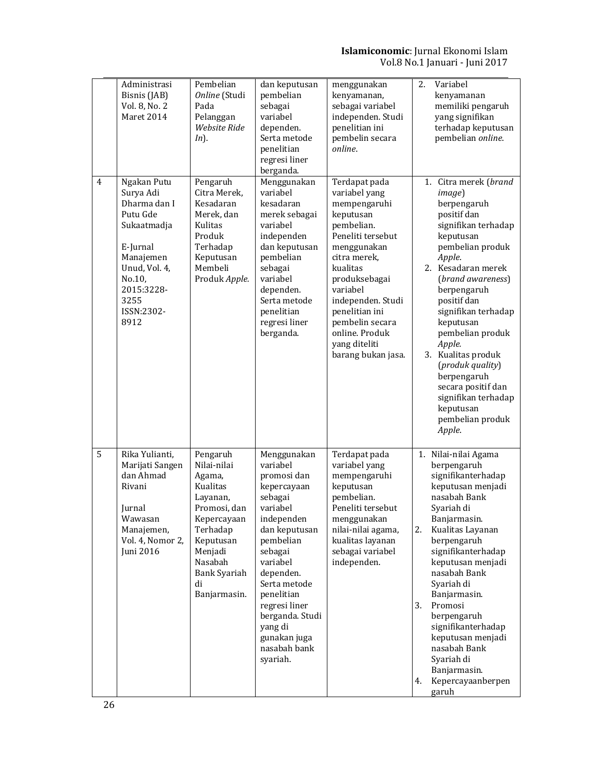# **Islamiconomic:** Jurnal Ekonomi Islam<br>Vol.8 No.1 Januari - Juni 2017

|   | Administrasi<br>Bisnis (JAB)<br>Vol. 8, No. 2<br>Maret 2014                                                                                                         | Pembelian<br>Online (Studi<br>Pada<br>Pelanggan<br>Website Ride<br>$In$ ).                                                                                                           | dan keputusan<br>pembelian<br>sebagai<br>variabel<br>dependen.<br>Serta metode<br>penelitian<br>regresi liner<br>berganda.                                                                                                                                                            | menggunakan<br>kenyamanan,<br>sebagai variabel<br>independen. Studi<br>penelitian ini<br>pembelin secara<br>online.                                                                                                                                                                       | Variabel<br>2.<br>kenyamanan<br>memiliki pengaruh<br>yang signifikan<br>terhadap keputusan<br>pembelian online.                                                                                                                                                                                                                                                                                                             |
|---|---------------------------------------------------------------------------------------------------------------------------------------------------------------------|--------------------------------------------------------------------------------------------------------------------------------------------------------------------------------------|---------------------------------------------------------------------------------------------------------------------------------------------------------------------------------------------------------------------------------------------------------------------------------------|-------------------------------------------------------------------------------------------------------------------------------------------------------------------------------------------------------------------------------------------------------------------------------------------|-----------------------------------------------------------------------------------------------------------------------------------------------------------------------------------------------------------------------------------------------------------------------------------------------------------------------------------------------------------------------------------------------------------------------------|
| 4 | Ngakan Putu<br>Surya Adi<br>Dharma dan I<br>Putu Gde<br>Sukaatmadja<br>E-Jurnal<br>Manajemen<br>Unud, Vol. 4,<br>No.10,<br>2015:3228-<br>3255<br>ISSN:2302-<br>8912 | Pengaruh<br>Citra Merek,<br>Kesadaran<br>Merek, dan<br>Kulitas<br>Produk<br>Terhadap<br>Keputusan<br>Membeli<br>Produk Apple.                                                        | Menggunakan<br>variabel<br>kesadaran<br>merek sebagai<br>variabel<br>independen<br>dan keputusan<br>pembelian<br>sebagai<br>variabel<br>dependen.<br>Serta metode<br>penelitian<br>regresi liner<br>berganda.                                                                         | Terdapat pada<br>variabel yang<br>mempengaruhi<br>keputusan<br>pembelian.<br>Peneliti tersebut<br>menggunakan<br>citra merek,<br>kualitas<br>produksebagai<br>variabel<br>independen. Studi<br>penelitian ini<br>pembelin secara<br>online. Produk<br>yang diteliti<br>barang bukan jasa. | 1. Citra merek (brand<br>image)<br>berpengaruh<br>positif dan<br>signifikan terhadap<br>keputusan<br>pembelian produk<br>Apple.<br>2. Kesadaran merek<br>(brand awareness)<br>berpengaruh<br>positif dan<br>signifikan terhadap<br>keputusan<br>pembelian produk<br>Apple.<br>3. Kualitas produk<br>(produk quality)<br>berpengaruh<br>secara positif dan<br>signifikan terhadap<br>keputusan<br>pembelian produk<br>Apple. |
| 5 | Rika Yulianti,<br>Marijati Sangen<br>dan Ahmad<br>Rivani<br>Jurnal<br>Wawasan<br>Manajemen,<br>Vol. 4, Nomor 2,<br>Juni 2016                                        | Pengaruh<br>Nilai-nilai<br>Agama,<br><b>Kualitas</b><br>Layanan,<br>Promosi, dan<br>Kepercayaan<br>Terhadap<br>Keputusan<br>Menjadi<br>Nasabah<br>Bank Syariah<br>di<br>Banjarmasin. | Menggunakan<br>variabel<br>promosi dan<br>kepercayaan<br>sebagai<br>variabel<br>independen<br>dan keputusan<br>pembelian<br>sebagai<br>variabel<br>dependen.<br>Serta metode<br>penelitian<br>regresi liner<br>berganda. Studi<br>yang di<br>gunakan juga<br>nasabah bank<br>syariah. | Terdapat pada<br>variabel yang<br>mempengaruhi<br>keputusan<br>pembelian.<br>Peneliti tersebut<br>menggunakan<br>nilai-nilai agama,<br>kualitas layanan<br>sebagai variabel<br>independen.                                                                                                | 1. Nilai-nilai Agama<br>berpengaruh<br>signifikanterhadap<br>keputusan menjadi<br>nasabah Bank<br>Syariah di<br>Banjarmasin.<br>2.<br>Kualitas Layanan<br>berpengaruh<br>signifikanterhadap<br>keputusan menjadi<br>nasabah Bank<br>Syariah di<br>Banjarmasin.<br>3.<br>Promosi<br>berpengaruh<br>signifikanterhadap<br>keputusan menjadi<br>nasabah Bank<br>Syariah di<br>Banjarmasin.<br>Kepercayaanberpen<br>4.<br>garuh |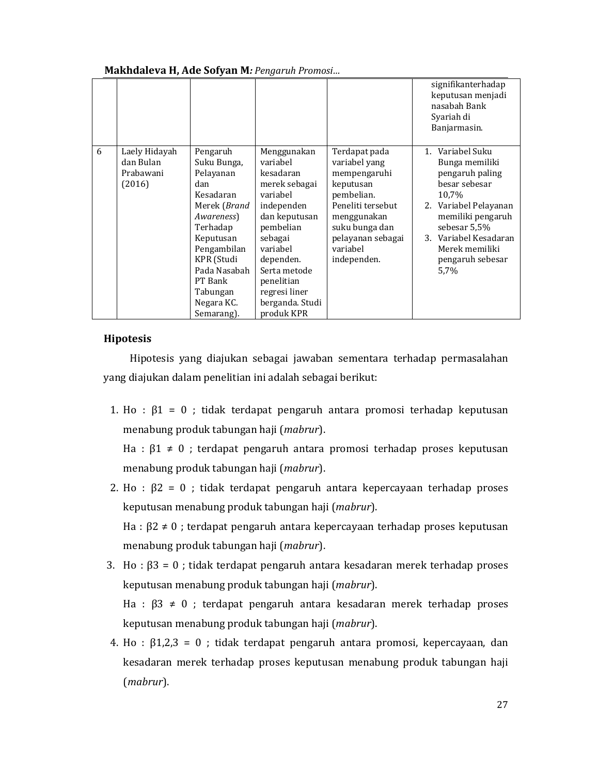|   |                                                   |                                                                                                                                                                                                                 |                                                                                                                                                                                                                                   |                                                                                                                                                                                 | signifikanterhadap<br>keputusan menjadi<br>nasabah Bank<br>Syariah di<br>Banjarmasin.                                                                                                                                |
|---|---------------------------------------------------|-----------------------------------------------------------------------------------------------------------------------------------------------------------------------------------------------------------------|-----------------------------------------------------------------------------------------------------------------------------------------------------------------------------------------------------------------------------------|---------------------------------------------------------------------------------------------------------------------------------------------------------------------------------|----------------------------------------------------------------------------------------------------------------------------------------------------------------------------------------------------------------------|
| 6 | Laely Hidayah<br>dan Bulan<br>Prabawani<br>(2016) | Pengaruh<br>Suku Bunga,<br>Pelayanan<br>dan<br>Kesadaran<br>Merek (Brand<br>Awareness)<br>Terhadap<br>Keputusan<br>Pengambilan<br>KPR (Studi<br>Pada Nasabah<br>PT Bank<br>Tabungan<br>Negara KC.<br>Semarang). | Menggunakan<br>variabel<br>kesadaran<br>merek sebagai<br>variabel<br>independen<br>dan keputusan<br>pembelian<br>sebagai<br>variabel<br>dependen.<br>Serta metode<br>penelitian<br>regresi liner<br>berganda. Studi<br>produk KPR | Terdapat pada<br>variabel yang<br>mempengaruhi<br>keputusan<br>pembelian.<br>Peneliti tersebut<br>menggunakan<br>suku bunga dan<br>pelayanan sebagai<br>variabel<br>independen. | 1. Variabel Suku<br>Bunga memiliki<br>pengaruh paling<br>besar sebesar<br>10,7%<br>2. Variabel Pelayanan<br>memiliki pengaruh<br>sebesar 5,5%<br>3. Variabel Kesadaran<br>Merek memiliki<br>pengaruh sebesar<br>5.7% |

# **Hipotesis**

Hipotesis yang diajukan sebagai jawaban sementara terhadap permasalahan yang diajukan dalam penelitian ini adalah sebagai berikut:

1. Ho :  $\beta$ 1 = 0 : tidak terdapat pengaruh antara promosi terhadap keputusan menabung produk tabungan haji (mabrur).

Ha :  $\beta$ 1  $\neq$  0 ; terdapat pengaruh antara promosi terhadap proses keputusan menabung produk tabungan haji (*mabrur*).

- 2. Ho :  $\beta$ 2 = 0 ; tidak terdapat pengaruh antara kepercayaan terhadap proses keputusan menabung produk tabungan haji (*mabrur*). Ha :  $\beta$ 2  $\neq$  0 ; terdapat pengaruh antara kepercayaan terhadap proses keputusan menabung produk tabungan haji (mabrur).
- 3. Ho :  $\beta$ 3 = 0 ; tidak terdapat pengaruh antara kesadaran merek terhadap proses keputusan menabung produk tabungan haji (*mabrur*). Ha :  $\beta$ 3  $\neq$  0 ; terdapat pengaruh antara kesadaran merek terhadap proses keputusan menabung produk tabungan haji (mabrur).
- 4. Ho :  $\beta$ 1,2,3 = 0 ; tidak terdapat pengaruh antara promosi, kepercayaan, dan kesadaran merek terhadap proses keputusan menabung produk tabungan haji  $(mabrur)$ .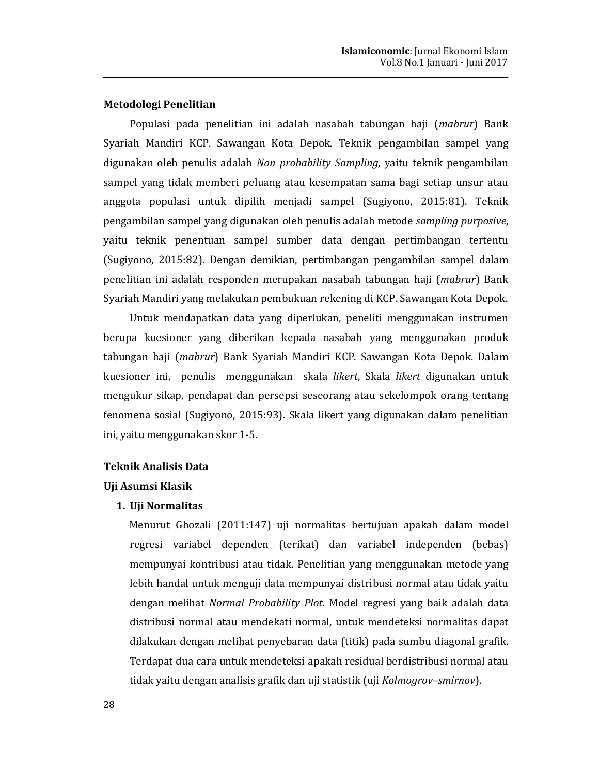# Metodologi Penelitian

Populasi pada penelitian ini adalah nasabah tabungan haji (mabrur) Bank Syariah Mandiri KCP. Sawangan Kota Depok. Teknik pengambilan sampel yang digunakan oleh penulis adalah Non probability Sampling, yaitu teknik pengambilan sampel yang tidak memberi peluang atau kesempatan sama bagi setiap unsur atau anggota populasi untuk dipilih menjadi sampel (Sugiyono, 2015:81). Teknik pengambilan sampel yang digunakan oleh penulis adalah metode sampling purposive, yaitu teknik penentuan sampel sumber data dengan pertimbangan tertentu (Sugiyono, 2015:82). Dengan demikian, pertimbangan pengambilan sampel dalam penelitian ini adalah responden merupakan nasabah tabungan haji (mabrur) Bank Syariah Mandiri yang melakukan pembukuan rekening di KCP. Sawangan Kota Depok.

Untuk mendapatkan data yang diperlukan, peneliti menggunakan instrumen berupa kuesioner yang diberikan kepada nasabah yang menggunakan produk tabungan haji (*mabrur*) Bank Syariah Mandiri KCP. Sawangan Kota Depok. Dalam kuesioner ini, penulis menggunakan skala likert, Skala likert digunakan untuk mengukur sikap, pendapat dan persepsi seseorang atau sekelompok orang tentang fenomena sosial (Sugiyono, 2015:93). Skala likert yang digunakan dalam penelitian ini, yaitu menggunakan skor 1-5.

# **Teknik Analisis Data**

## Uji Asumsi Klasik

## 1. Uji Normalitas

Menurut Ghozali (2011:147) uji normalitas bertujuan apakah dalam model regresi variabel dependen (terikat) dan variabel independen (bebas) mempunyai kontribusi atau tidak. Penelitian yang menggunakan metode yang lebih handal untuk menguji data mempunyai distribusi normal atau tidak yaitu dengan melihat Normal Probability Plot. Model regresi yang baik adalah data distribusi normal atau mendekati normal, untuk mendeteksi normalitas dapat dilakukan dengan melihat penyebaran data (titik) pada sumbu diagonal grafik. Terdapat dua cara untuk mendeteksi apakah residual berdistribusi normal atau tidak yaitu dengan analisis grafik dan uji statistik (uji Kolmogrov-smirnov).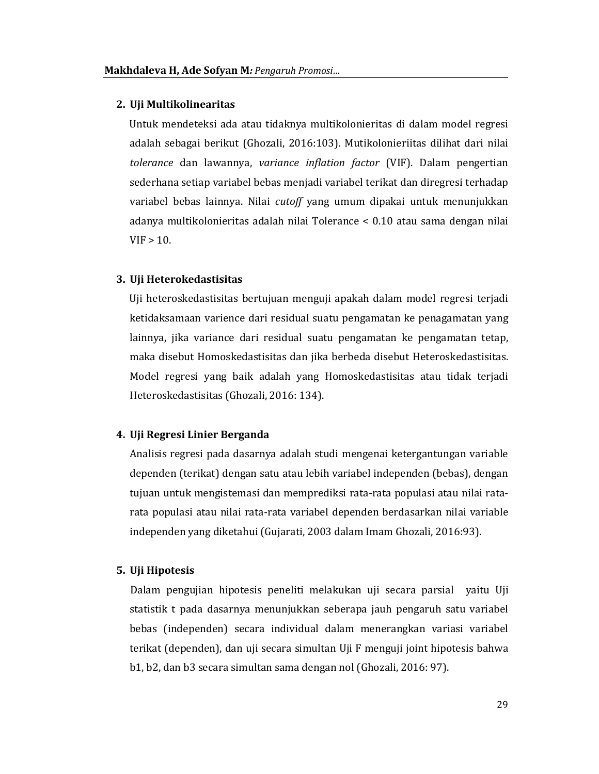### 2. Uji Multikolinearitas

Untuk mendeteksi ada atau tidaknya multikolonieritas di dalam model regresi adalah sebagai berikut (Ghozali, 2016:103). Mutikolonieriitas dilihat dari nilai tolerance dan lawannya, variance inflation factor (VIF). Dalam pengertian sederhana setiap variabel bebas menjadi variabel terikat dan diregresi terhadap variabel bebas lainnya. Nilai *cutoff* yang umum dipakai untuk menunjukkan adanya multikolonieritas adalah nilai Tolerance < 0.10 atau sama dengan nilai  $VIF > 10.$ 

# 3. Uji Heterokedastisitas

Uji heteroskedastisitas bertujuan menguji apakah dalam model regresi terjadi ketidaksamaan varience dari residual suatu pengamatan ke penagamatan yang lainnya, jika variance dari residual suatu pengamatan ke pengamatan tetap, maka disebut Homoskedastisitas dan jika berbeda disebut Heteroskedastisitas. Model regresi yang baik adalah yang Homoskedastisitas atau tidak terjadi Heteroskedastisitas (Ghozali, 2016: 134).

# 4. Uji Regresi Linier Berganda

Analisis regresi pada dasarnya adalah studi mengenai ketergantungan variable dependen (terikat) dengan satu atau lebih variabel independen (bebas), dengan tujuan untuk mengistemasi dan memprediksi rata-rata populasi atau nilai ratarata populasi atau nilai rata-rata variabel dependen berdasarkan nilai variable independen yang diketahui (Gujarati, 2003 dalam Imam Ghozali, 2016:93).

## 5. Uji Hipotesis

Dalam pengujian hipotesis peneliti melakukan uji secara parsial yaitu Uji statistik t pada dasarnya menunjukkan seberapa jauh pengaruh satu variabel bebas (independen) secara individual dalam menerangkan variasi variabel terikat (dependen), dan uji secara simultan Uji F menguji joint hipotesis bahwa b1, b2, dan b3 secara simultan sama dengan nol (Ghozali, 2016: 97).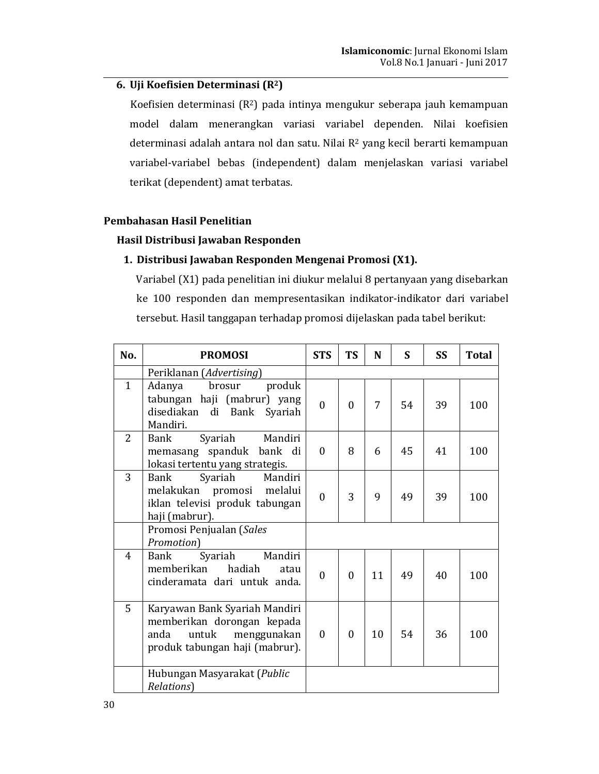# 6. Uji Koefisien Determinasi (R<sup>2</sup>)

Koefisien determinasi (R<sup>2</sup>) pada intinya mengukur seberapa jauh kemampuan model dalam menerangkan variasi variabel dependen. Nilai koefisien determinasi adalah antara nol dan satu. Nilai R<sup>2</sup> yang kecil berarti kemampuan variabel-variabel bebas (independent) dalam menjelaskan variasi variabel terikat (dependent) amat terbatas.

# Pembahasan Hasil Penelitian

# Hasil Distribusi Jawaban Responden

# 1. Distribusi Jawaban Responden Mengenai Promosi (X1).

Variabel (X1) pada penelitian ini diukur melalui 8 pertanyaan yang disebarkan ke 100 responden dan mempresentasikan indikator-indikator dari variabel tersebut. Hasil tanggapan terhadap promosi dijelaskan pada tabel berikut:

| No.            | <b>PROMOSI</b>                                                                                                                | <b>STS</b>   | <b>TS</b> | N  | S  | <b>SS</b> | <b>Total</b> |
|----------------|-------------------------------------------------------------------------------------------------------------------------------|--------------|-----------|----|----|-----------|--------------|
|                | Periklanan (Advertising)                                                                                                      |              |           |    |    |           |              |
| $\mathbf{1}$   | Adanya<br>brosur<br>produk<br>tabungan haji (mabrur) yang<br>disediakan<br>di<br>Bank<br>Syariah<br>Mandiri.                  | $\mathbf{0}$ | $\theta$  | 7  | 54 | 39        | 100          |
| $\overline{2}$ | Mandiri<br>Syariah<br>Bank<br>memasang spanduk bank di<br>lokasi tertentu yang strategis.                                     | $\theta$     | 8         | 6  | 45 | 41        | 100          |
| 3              | Syariah<br>Bank<br>Mandiri<br>melalui<br>melakukan promosi<br>iklan televisi produk tabungan<br>haji (mabrur).                | $\theta$     | 3         | 9  | 49 | 39        | 100          |
|                | Promosi Penjualan (Sales<br>Promotion)                                                                                        |              |           |    |    |           |              |
| 4              | Syariah<br>Mandiri<br>Bank<br>hadiah<br>memberikan<br>atau<br>cinderamata dari untuk anda.                                    | $\mathbf{0}$ | $\theta$  | 11 | 49 | 40        | 100          |
| 5              | Karyawan Bank Syariah Mandiri<br>memberikan dorongan kepada<br>untuk<br>menggunakan<br>anda<br>produk tabungan haji (mabrur). | $\theta$     | $\theta$  | 10 | 54 | 36        | 100          |
|                | Hubungan Masyarakat (Public<br>Relations)                                                                                     |              |           |    |    |           |              |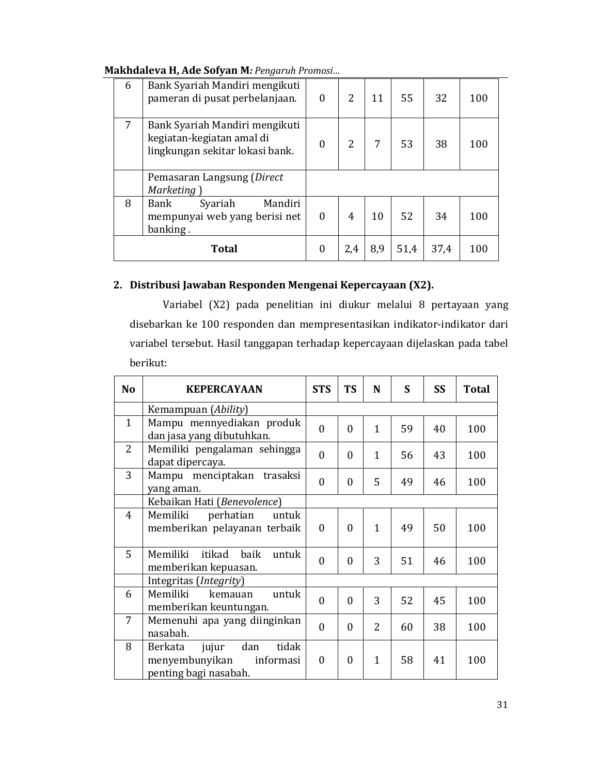| 6 | Bank Syariah Mandiri mengikuti<br>pameran di pusat perbelanjaan.                               | $\theta$     | 2   | 11  | 55   | 32   | 100 |
|---|------------------------------------------------------------------------------------------------|--------------|-----|-----|------|------|-----|
| 7 | Bank Syariah Mandiri mengikuti<br>kegiatan-kegiatan amal di<br>lingkungan sekitar lokasi bank. | $\mathbf{0}$ | 2   | 7   | 53   | 38   | 100 |
|   | Pemasaran Langsung (Direct                                                                     |              |     |     |      |      |     |
|   | Marketing                                                                                      |              |     |     |      |      |     |
| 8 | Mandiri<br>Bank<br>Syariah<br>mempunyai web yang berisi net<br>banking.                        | $\theta$     | 4   | 10  | 52   | 34   | 100 |
|   | <b>Total</b>                                                                                   | $\theta$     | 2,4 | 8,9 | 51,4 | 37,4 | 100 |

# 2. Distribusi Jawaban Responden Mengenai Kepercayaan (X2).

Variabel (X2) pada penelitian ini diukur melalui 8 pertayaan yang disebarkan ke 100 responden dan mempresentasikan indikator-indikator dari variabel tersebut. Hasil tanggapan terhadap kepercayaan dijelaskan pada tabel berikut:

| N <sub>o</sub> | <b>KEPERCAYAAN</b>                                                                       | <b>STS</b>   | <b>TS</b>        | N              | S  | <b>SS</b> | <b>Total</b> |
|----------------|------------------------------------------------------------------------------------------|--------------|------------------|----------------|----|-----------|--------------|
|                | Kemampuan (Ability)                                                                      |              |                  |                |    |           |              |
| $\mathbf{1}$   | Mampu mennyediakan produk<br>dan jasa yang dibutuhkan.                                   | $\theta$     | $\Omega$         | $\mathbf{1}$   | 59 | 40        | 100          |
| $\mathcal{L}$  | Memiliki pengalaman sehingga<br>dapat dipercaya.                                         | $\theta$     | $\Omega$         | $\mathbf{1}$   | 56 | 43        | 100          |
| 3              | Mampu menciptakan trasaksi<br>yang aman.                                                 | $\mathbf{0}$ | $\boldsymbol{0}$ | 5              | 49 | 46        | 100          |
|                | Kebaikan Hati (Benevolence)                                                              |              |                  |                |    |           |              |
| $\overline{4}$ | perhatian<br>Memiliki<br>untuk<br>memberikan pelayanan terbaik                           | $\theta$     | $\theta$         | $\mathbf{1}$   | 49 | 50        | 100          |
| 5              | Memiliki itikad baik<br>untuk<br>memberikan kepuasan.                                    | $\mathbf{0}$ | $\boldsymbol{0}$ | 3              | 51 | 46        | 100          |
|                | Integritas ( <i>Integrity</i> )                                                          |              |                  |                |    |           |              |
| 6              | Memiliki<br>kemauan<br>untuk<br>memberikan keuntungan.                                   | $\theta$     | $\Omega$         | 3              | 52 | 45        | 100          |
| 7              | Memenuhi apa yang diinginkan<br>nasabah.                                                 | $\mathbf{0}$ | $\boldsymbol{0}$ | $\overline{2}$ | 60 | 38        | 100          |
| 8              | dan<br>tidak<br>jujur<br>Berkata<br>menyembunyikan<br>informasi<br>penting bagi nasabah. | $\theta$     | $\boldsymbol{0}$ | $\mathbf{1}$   | 58 | 41        | 100          |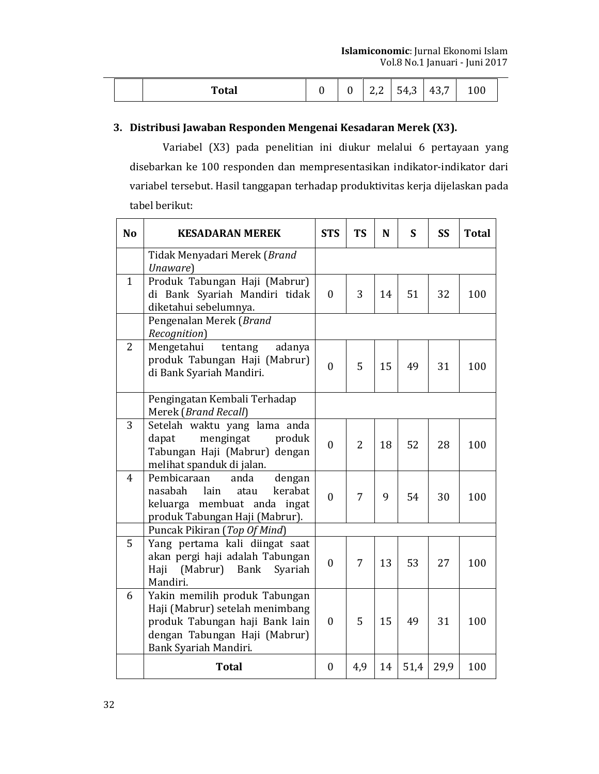| <b>Total</b> |  | 221<br><u>L.L</u> | 54,3 | 43,7 | 100 |
|--------------|--|-------------------|------|------|-----|

# 3. Distribusi Jawaban Responden Mengenai Kesadaran Merek (X3).

Variabel (X3) pada penelitian ini diukur melalui 6 pertayaan yang disebarkan ke 100 responden dan mempresentasikan indikator-indikator dari variabel tersebut. Hasil tanggapan terhadap produktivitas kerja dijelaskan pada tabel berikut:

| N <sub>o</sub> | <b>KESADARAN MEREK</b>                                                                                                                                       | <b>STS</b>       | <b>TS</b>      | N  | S    | SS   | <b>Total</b> |
|----------------|--------------------------------------------------------------------------------------------------------------------------------------------------------------|------------------|----------------|----|------|------|--------------|
|                | Tidak Menyadari Merek (Brand<br>Unaware)                                                                                                                     |                  |                |    |      |      |              |
| $\mathbf{1}$   | Produk Tabungan Haji (Mabrur)<br>di Bank Syariah Mandiri tidak<br>diketahui sebelumnya.                                                                      | $\mathbf{0}$     | 3              | 14 | 51   | 32   | 100          |
|                | Pengenalan Merek (Brand<br>Recognition)                                                                                                                      |                  |                |    |      |      |              |
| $\overline{2}$ | Mengetahui<br>tentang<br>adanya<br>produk Tabungan Haji (Mabrur)<br>di Bank Syariah Mandiri.                                                                 | $\theta$         | 5              | 15 | 49   | 31   | 100          |
|                | Pengingatan Kembali Terhadap<br>Merek (Brand Recall)                                                                                                         |                  |                |    |      |      |              |
| 3              | Setelah waktu yang lama anda<br>mengingat<br>dapat<br>produk<br>Tabungan Haji (Mabrur) dengan<br>melihat spanduk di jalan.                                   | $\theta$         | $\overline{2}$ | 18 | 52   | 28   | 100          |
| $\overline{4}$ | Pembicaraan<br>dengan<br>anda<br>kerabat<br>nasabah<br>lain<br>atau<br>keluarga membuat anda<br>ingat<br>produk Tabungan Haji (Mabrur).                      | $\mathbf{0}$     | 7              | 9  | 54   | 30   | 100          |
|                | Puncak Pikiran (Top Of Mind)                                                                                                                                 |                  |                |    |      |      |              |
| 5              | Yang pertama kali diingat saat<br>akan pergi haji adalah Tabungan<br>(Mabrur)<br>Bank<br>Syariah<br>Haji<br>Mandiri.                                         | $\theta$         | 7              | 13 | 53   | 27   | 100          |
| 6              | Yakin memilih produk Tabungan<br>Haji (Mabrur) setelah menimbang<br>produk Tabungan haji Bank lain<br>dengan Tabungan Haji (Mabrur)<br>Bank Syariah Mandiri. | $\mathbf{0}$     | 5              | 15 | 49   | 31   | 100          |
|                | <b>Total</b>                                                                                                                                                 | $\boldsymbol{0}$ | 4,9            | 14 | 51,4 | 29,9 | 100          |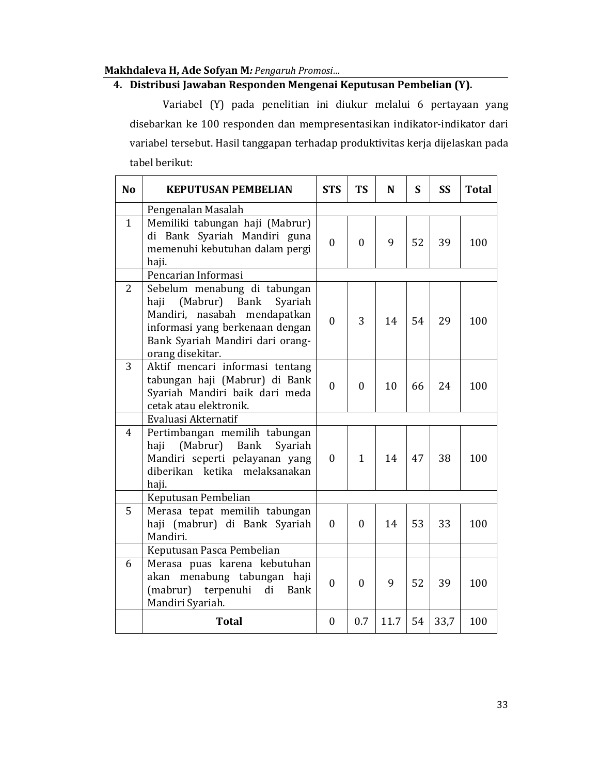# 4. Distribusi Jawaban Responden Mengenai Keputusan Pembelian (Y).

Variabel (Y) pada penelitian ini diukur melalui 6 pertayaan yang disebarkan ke 100 responden dan mempresentasikan indikator-indikator dari variabel tersebut. Hasil tanggapan terhadap produktivitas kerja dijelaskan pada tabel berikut:

| N <sub>o</sub> | <b>KEPUTUSAN PEMBELIAN</b>                                                                                                                                                                  | <b>STS</b>       | <b>TS</b>    | N    | S  | <b>SS</b> | <b>Total</b> |
|----------------|---------------------------------------------------------------------------------------------------------------------------------------------------------------------------------------------|------------------|--------------|------|----|-----------|--------------|
|                | Pengenalan Masalah                                                                                                                                                                          |                  |              |      |    |           |              |
| $\mathbf{1}$   | Memiliki tabungan haji (Mabrur)<br>di Bank Syariah Mandiri guna<br>memenuhi kebutuhan dalam pergi<br>haji.                                                                                  | $\mathbf{0}$     | $\mathbf{0}$ | 9    | 52 | 39        | 100          |
|                | Pencarian Informasi                                                                                                                                                                         |                  |              |      |    |           |              |
| $\overline{2}$ | Sebelum menabung di tabungan<br>haji<br>(Mabrur) Bank<br>Syariah<br>Mandiri, nasabah mendapatkan<br>informasi yang berkenaan dengan<br>Bank Syariah Mandiri dari orang-<br>orang disekitar. | $\mathbf{0}$     | 3            | 14   | 54 | 29        | 100          |
| 3              | Aktif mencari informasi tentang<br>tabungan haji (Mabrur) di Bank<br>Syariah Mandiri baik dari meda<br>cetak atau elektronik.                                                               | $\mathbf{0}$     | $\mathbf{0}$ | 10   | 66 | 24        | 100          |
|                | Evaluasi Akternatif                                                                                                                                                                         |                  |              |      |    |           |              |
| 4              | Pertimbangan memilih tabungan<br>(Mabrur)<br>haji<br><b>Bank</b><br>Syariah<br>Mandiri seperti pelayanan yang<br>ketika melaksanakan<br>diberikan<br>haji.                                  | $\mathbf{0}$     | $\mathbf{1}$ | 14   | 47 | 38        | 100          |
|                | Keputusan Pembelian                                                                                                                                                                         |                  |              |      |    |           |              |
| $\overline{5}$ | Merasa tepat memilih tabungan<br>haji (mabrur) di Bank Syariah<br>Mandiri.                                                                                                                  | 0                | $\theta$     | 14   | 53 | 33        | 100          |
|                | Keputusan Pasca Pembelian                                                                                                                                                                   |                  |              |      |    |           |              |
| 6              | Merasa puas karena kebutuhan<br>akan menabung tabungan haji<br>(mabrur) terpenuhi<br>di<br><b>Bank</b><br>Mandiri Syariah.                                                                  | $\mathbf{0}$     | $\mathbf{0}$ | 9    | 52 | 39        | 100          |
|                | <b>Total</b>                                                                                                                                                                                | $\boldsymbol{0}$ | 0.7          | 11.7 | 54 | 33,7      | 100          |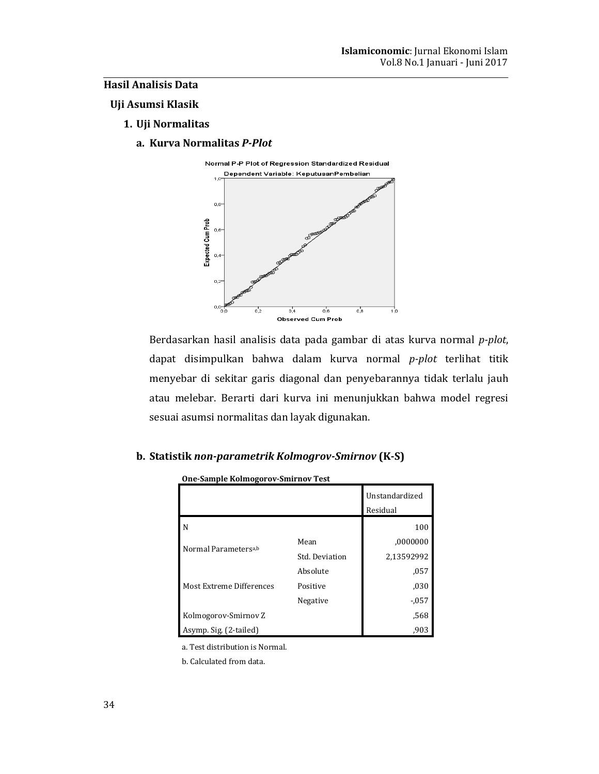# **Hasil Analisis Data**

## Uji Asumsi Klasik

## 1. Uji Normalitas

a. Kurva Normalitas P-Plot



Berdasarkan hasil analisis data pada gambar di atas kurva normal p-plot, dapat disimpulkan bahwa dalam kurva normal p-plot terlihat titik menyebar di sekitar garis diagonal dan penyebarannya tidak terlalu jauh atau melebar. Berarti dari kurva ini menunjukkan bahwa model regresi sesuai asumsi normalitas dan layak digunakan.

# b. Statistik non-parametrik Kolmogrov-Smirnov (K-S)

| One-Sample Konnogor ov-Simi hoverest |                |                            |  |  |  |
|--------------------------------------|----------------|----------------------------|--|--|--|
|                                      |                | Unstandardized<br>Residual |  |  |  |
| N                                    |                | 100                        |  |  |  |
| Normal Parameters <sup>a,b</sup>     | Mean           | ,0000000                   |  |  |  |
|                                      | Std. Deviation | 2,13592992                 |  |  |  |
|                                      | Absolute       | ,057                       |  |  |  |
| Most Extreme Differences             | Positive       | ,030                       |  |  |  |
|                                      | Negative       | $-0.057$                   |  |  |  |
| Kolmogorov-Smirnov Z                 |                | .568                       |  |  |  |
| Asymp. Sig. (2-tailed)               |                | ,903                       |  |  |  |

One-Sample Kolmogorov-Smirnov Test

a. Test distribution is Normal.

b. Calculated from data.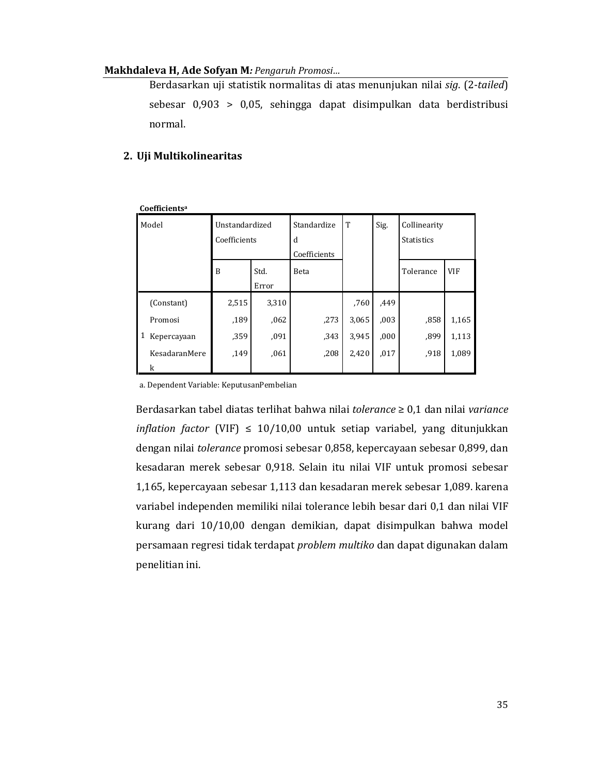Berdasarkan uji statistik normalitas di atas menunjukan nilai sig. (2-tailed) sebesar 0,903 > 0,05, sehingga dapat disimpulkan data berdistribusi normal.

# 2. Uji Multikolinearitas

|   | Coefficientsª |                                |               |                                  |       |      |                                   |            |  |
|---|---------------|--------------------------------|---------------|----------------------------------|-------|------|-----------------------------------|------------|--|
|   | Model         | Unstandardized<br>Coefficients |               | Standardize<br>d<br>Coefficients | T     | Sig. | Collinearity<br><b>Statistics</b> |            |  |
|   |               | B                              | Std.<br>Error | Beta                             |       |      | Tolerance                         | <b>VIF</b> |  |
|   | (Constant)    | 2,515                          | 3,310         |                                  | .760  | ,449 |                                   |            |  |
|   | Promosi       | ,189                           | ,062          | ,273                             | 3,065 | ,003 | ,858                              | 1,165      |  |
| 1 | Kepercayaan   | .359                           | ,091          | ,343                             | 3,945 | ,000 | ,899                              | 1,113      |  |
|   | KesadaranMere | ,149                           | ,061          | ,208                             | 2,420 | ,017 | ,918                              | 1,089      |  |
|   | k             |                                |               |                                  |       |      |                                   |            |  |

a. Dependent Variable: KeputusanPembelian

Berdasarkan tabel diatas terlihat bahwa nilai tolerance  $\geq 0.1$  dan nilai variance inflation factor (VIF)  $\leq 10/10,00$  untuk setiap variabel, yang ditunjukkan dengan nilai tolerance promosi sebesar 0,858, kepercayaan sebesar 0,899, dan kesadaran merek sebesar 0,918. Selain itu nilai VIF untuk promosi sebesar 1,165, kepercayaan sebesar 1,113 dan kesadaran merek sebesar 1,089. karena variabel independen memiliki nilai tolerance lebih besar dari 0,1 dan nilai VIF kurang dari 10/10,00 dengan demikian, dapat disimpulkan bahwa model persamaan regresi tidak terdapat problem multiko dan dapat digunakan dalam penelitian ini.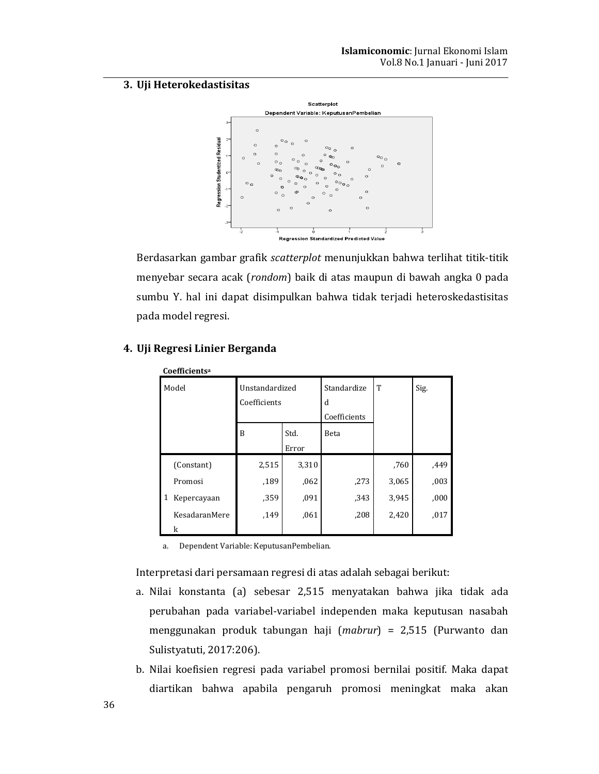# 3. Uji Heterokedastisitas



Berdasarkan gambar grafik scatterplot menunjukkan bahwa terlihat titik-titik menyebar secara acak (rondom) baik di atas maupun di bawah angka 0 pada sumbu Y. hal ini dapat disimpulkan bahwa tidak terjadi heteroskedastisitas pada model regresi.

| Coefficients <sup>a</sup> |               |                |       |              |       |      |  |  |
|---------------------------|---------------|----------------|-------|--------------|-------|------|--|--|
| Model                     |               | Unstandardized |       | Standardize  | T     | Sig. |  |  |
|                           |               | Coefficients   |       | d            |       |      |  |  |
|                           |               |                |       | Coefficients |       |      |  |  |
|                           |               | B              | Std.  | Beta         |       |      |  |  |
|                           |               |                | Error |              |       |      |  |  |
|                           | (Constant)    | 2,515          | 3,310 |              | ,760  | ,449 |  |  |
|                           | Promosi       | ,189           | ,062  | ,273         | 3,065 | ,003 |  |  |
| 1                         | Kepercayaan   | .359           | ,091  | .343         | 3,945 | ,000 |  |  |
|                           | KesadaranMere | ,149           | .061  | ,208         | 2,420 | ,017 |  |  |
|                           | k             |                |       |              |       |      |  |  |

# 4. Uji Regresi Linier Berganda

a. Dependent Variable: KeputusanPembelian.

Interpretasi dari persamaan regresi di atas adalah sebagai berikut:

- a. Nilai konstanta (a) sebesar 2,515 menyatakan bahwa jika tidak ada perubahan pada variabel-variabel independen maka keputusan nasabah menggunakan produk tabungan haji (mabrur) = 2,515 (Purwanto dan Sulistyatuti, 2017:206).
- b. Nilai koefisien regresi pada variabel promosi bernilai positif. Maka dapat diartikan bahwa apabila pengaruh promosi meningkat maka akan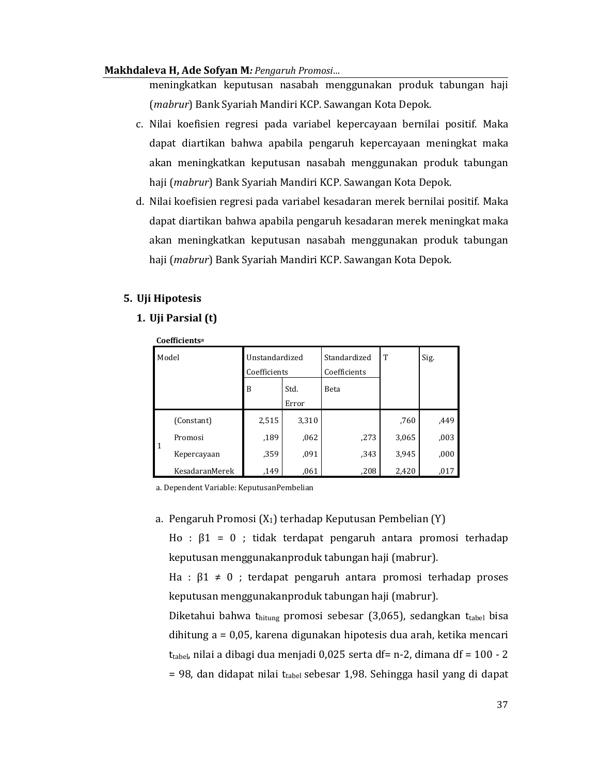meningkatkan keputusan nasabah menggunakan produk tabungan haji (mabrur) Bank Syariah Mandiri KCP. Sawangan Kota Depok.

- c. Nilai koefisien regresi pada variabel kepercayaan bernilai positif. Maka dapat diartikan bahwa apabila pengaruh kepercayaan meningkat maka akan meningkatkan keputusan nasabah menggunakan produk tabungan haji (mabrur) Bank Syariah Mandiri KCP. Sawangan Kota Depok.
- d. Nilai koefisien regresi pada variabel kesadaran merek bernilai positif. Maka dapat diartikan bahwa apabila pengaruh kesadaran merek meningkat maka akan meningkatkan keputusan nasabah menggunakan produk tabungan haji (*mabrur*) Bank Syariah Mandiri KCP. Sawangan Kota Depok.

# 5. Uji Hipotesis

# 1. Uji Parsial (t)

| Coefficients <sup>a</sup> |                       |                |       |              |       |      |  |  |
|---------------------------|-----------------------|----------------|-------|--------------|-------|------|--|--|
| Model                     |                       | Unstandardized |       | Standardized | T     | Sig. |  |  |
|                           |                       | Coefficients   |       | Coefficients |       |      |  |  |
|                           |                       | B              | Std.  | Beta         |       |      |  |  |
|                           |                       |                | Error |              |       |      |  |  |
|                           | (Constant)            | 2,515          | 3,310 |              | ,760  | ,449 |  |  |
| 1                         | Promosi               | ,189           | ,062  | ,273         | 3,065 | ,003 |  |  |
|                           | Kepercayaan           | .359           | ,091  | ,343         | 3,945 | ,000 |  |  |
|                           | <b>KesadaranMerek</b> | .149           | .061  | .208         | 2.420 | .017 |  |  |

a. Dependent Variable: KeputusanPembelian

a. Pengaruh Promosi ( $X_1$ ) terhadap Keputusan Pembelian (Y)

Ho :  $\beta$ 1 = 0 ; tidak terdapat pengaruh antara promosi terhadap keputusan menggunakanproduk tabungan haji (mabrur).

Ha :  $\beta$ 1  $\neq$  0 ; terdapat pengaruh antara promosi terhadap proses keputusan menggunakanproduk tabungan haji (mabrur).

Diketahui bahwa thitung promosi sebesar (3,065), sedangkan ttabel bisa dihitung  $a = 0.05$ , karena digunakan hipotesis dua arah, ketika mencari t<sub>tabel</sub>, nilai a dibagi dua menjadi 0,025 serta df= n-2, dimana df =  $100 - 2$ = 98, dan didapat nilai t<sub>tabel</sub> sebesar 1,98. Sehingga hasil yang di dapat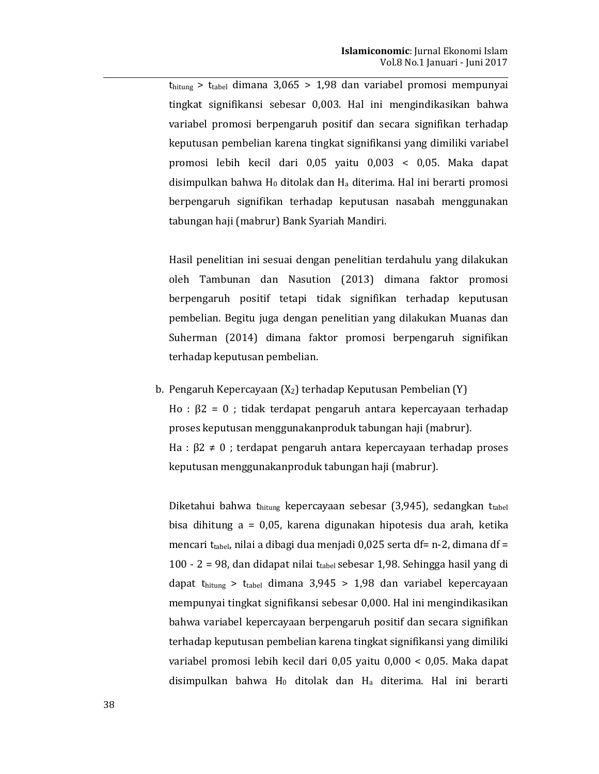$t<sub>hitung</sub> > t<sub>table</sub> dimana 3,065 > 1,98$  dan variabel promosi mempunyai tingkat signifikansi sebesar 0,003. Hal ini mengindikasikan bahwa variabel promosi berpengaruh positif dan secara signifikan terhadap keputusan pembelian karena tingkat signifikansi yang dimiliki variabel promosi lebih kecil dari 0,05 yaitu 0,003 < 0,05. Maka dapat disimpulkan bahwa H<sub>0</sub> ditolak dan H<sub>a</sub> diterima. Hal ini berarti promosi berpengaruh signifikan terhadap keputusan nasabah menggunakan tabungan haji (mabrur) Bank Syariah Mandiri.

Hasil penelitian ini sesuai dengan penelitian terdahulu yang dilakukan oleh Tambunan dan Nasution (2013) dimana faktor promosi berpengaruh positif tetapi tidak signifikan terhadap keputusan pembelian. Begitu juga dengan penelitian yang dilakukan Muanas dan Suherman (2014) dimana faktor promosi berpengaruh signifikan terhadap keputusan pembelian.

b. Pengaruh Kepercayaan  $(X_2)$  terhadap Keputusan Pembelian  $(Y)$ Ho :  $β2 = 0$ ; tidak terdapat pengaruh antara kepercayaan terhadap proses keputusan menggunakanproduk tabungan haji (mabrur). Ha :  $\beta$ 2  $\neq$  0 ; terdapat pengaruh antara kepercayaan terhadap proses keputusan menggunakanproduk tabungan haji (mabrur).

Diketahui bahwa thitung kepercayaan sebesar (3,945), sedangkan ttabel bisa dihitung a = 0,05, karena digunakan hipotesis dua arah, ketika mencari t<sub>tabel</sub>, nilai a dibagi dua menjadi 0,025 serta df= n-2, dimana df = 100 - 2 = 98, dan didapat nilai ttabel sebesar 1,98. Sehingga hasil yang di dapat thitung > ttabel dimana  $3,945$  >  $1,98$  dan variabel kepercayaan mempunyai tingkat signifikansi sebesar 0,000. Hal ini mengindikasikan bahwa variabel kepercayaan berpengaruh positif dan secara signifikan terhadap keputusan pembelian karena tingkat signifikansi yang dimiliki variabel promosi lebih kecil dari 0,05 yaitu 0,000 < 0,05. Maka dapat disimpulkan bahwa  $H_0$  ditolak dan  $H_a$  diterima. Hal ini berarti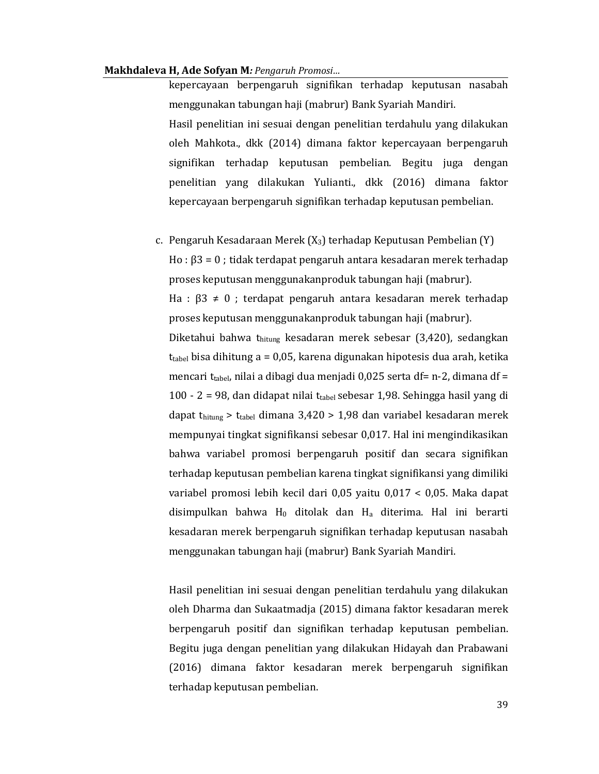kepercayaan berpengaruh signifikan terhadap keputusan nasabah menggunakan tabungan haji (mabrur) Bank Syariah Mandiri. Hasil penelitian ini sesuai dengan penelitian terdahulu yang dilakukan oleh Mahkota., dkk (2014) dimana faktor kepercayaan berpengaruh signifikan terhadap keputusan pembelian. Begitu juga dengan penelitian yang dilakukan Yulianti., dkk (2016) dimana faktor kepercayaan berpengaruh signifikan terhadap keputusan pembelian.

c. Pengaruh Kesadaraan Merek  $(X_3)$  terhadap Keputusan Pembelian  $(Y)$  $H_0: \beta 3 = 0$ ; tidak terdapat pengaruh antara kesadaran merek terhadap proses keputusan menggunakanproduk tabungan haji (mabrur). Ha :  $\beta$ 3  $\neq$  0 ; terdapat pengaruh antara kesadaran merek terhadap proses keputusan menggunakanproduk tabungan haji (mabrur). Diketahui bahwa thitung kesadaran merek sebesar (3,420), sedangkan  $t_{\text{table}}$  bisa dihitung a = 0,05, karena digunakan hipotesis dua arah, ketika mencari ttabel, nilai a dibagi dua menjadi 0,025 serta df= n-2, dimana df = 100 - 2 = 98, dan didapat nilai t<sub>tabel</sub> sebesar 1,98. Sehingga hasil yang di dapat thitung > t<sub>tabel</sub> dimana  $3,420$  >  $1,98$  dan variabel kesadaran merek mempunyai tingkat signifikansi sebesar 0,017. Hal ini mengindikasikan bahwa variabel promosi berpengaruh positif dan secara signifikan terhadap keputusan pembelian karena tingkat signifikansi yang dimiliki variabel promosi lebih kecil dari 0,05 yaitu 0,017 < 0,05. Maka dapat disimpulkan bahwa H<sub>0</sub> ditolak dan H<sub>a</sub> diterima. Hal ini berarti kesadaran merek berpengaruh signifikan terhadap keputusan nasabah menggunakan tabungan haji (mabrur) Bank Syariah Mandiri.

Hasil penelitian ini sesuai dengan penelitian terdahulu yang dilakukan oleh Dharma dan Sukaatmadja (2015) dimana faktor kesadaran merek berpengaruh positif dan signifikan terhadap keputusan pembelian. Begitu juga dengan penelitian yang dilakukan Hidayah dan Prabawani (2016) dimana faktor kesadaran merek berpengaruh signifikan terhadap keputusan pembelian.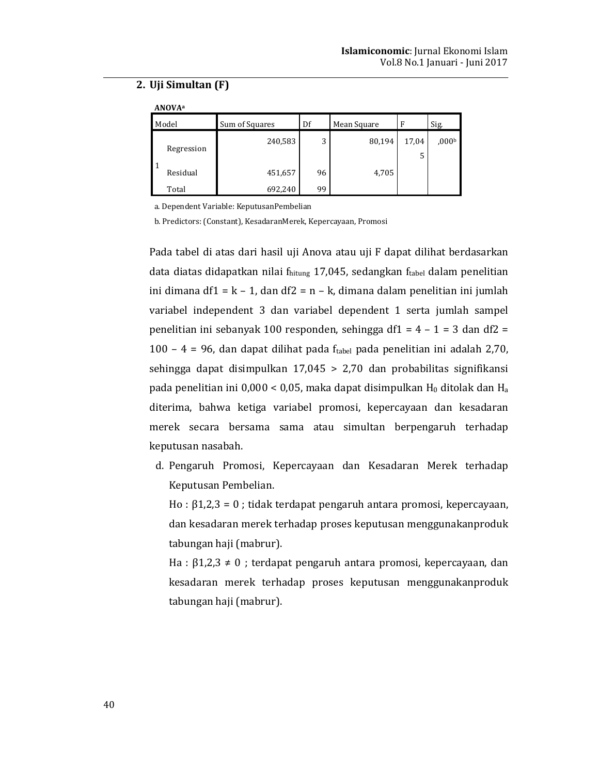# 2. Uji Simultan (F)

 $\cdots$ 

| <b>ANUVA</b> <sup>a</sup> |            |                |    |             |       |                  |  |  |
|---------------------------|------------|----------------|----|-------------|-------|------------------|--|--|
| Model                     |            | Sum of Squares | Df | Mean Square | F     | Sig.             |  |  |
|                           | Regression | 240,583        | 3  | 80,194      | 17,04 | 000 <sub>b</sub> |  |  |
|                           | Residual   | 451,657        | 96 | 4,705       |       |                  |  |  |
|                           | Total      | 692,240        | 99 |             |       |                  |  |  |

a. Dependent Variable: KeputusanPembelian

b. Predictors: (Constant), KesadaranMerek, Kepercayaan, Promosi

Pada tabel di atas dari hasil uji Anova atau uji F dapat dilihat berdasarkan data diatas didapatkan nilai fhitung 17,045, sedangkan ftabel dalam penelitian ini dimana df1 =  $k - 1$ , dan df2 = n - k, dimana dalam penelitian ini jumlah variabel independent 3 dan variabel dependent 1 serta jumlah sampel penelitian ini sebanyak 100 responden, sehingga df1 =  $4 - 1 = 3$  dan df2 = 100 - 4 = 96, dan dapat dilihat pada ftabel pada penelitian ini adalah 2,70, sehingga dapat disimpulkan  $17,045 > 2,70$  dan probabilitas signifikansi pada penelitian ini 0,000 < 0,05, maka dapat disimpulkan  $H_0$  ditolak dan  $H_a$ diterima, bahwa ketiga variabel promosi, kepercayaan dan kesadaran merek secara bersama sama atau simultan berpengaruh terhadap keputusan nasabah.

d. Pengaruh Promosi, Kepercayaan dan Kesadaran Merek terhadap Keputusan Pembelian.

Ho :  $\beta$ 1,2,3 = 0; tidak terdapat pengaruh antara promosi, kepercayaan, dan kesadaran merek terhadap proses keputusan menggunakanproduk tabungan haji (mabrur).

Ha :  $\beta$ 1,2,3  $\neq$  0 ; terdapat pengaruh antara promosi, kepercayaan, dan kesadaran merek terhadap proses keputusan menggunakanproduk tabungan haji (mabrur).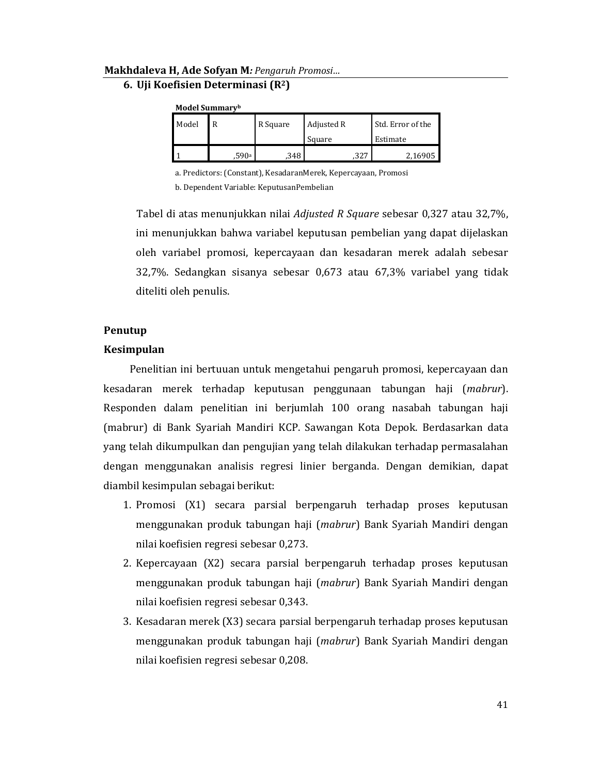# 6. Uji Koefisien Determinasi (R<sup>2</sup>)

| <b>Model Summary</b> |
|----------------------|
|                      |

| Model | R     | R Square | Adjusted R<br>Square | Std. Error of the<br>Estimate |
|-------|-------|----------|----------------------|-------------------------------|
|       | .590a | .348     | .327                 | 2,16905                       |

a. Predictors: (Constant), KesadaranMerek, Kepercayaan, Promosi

b. Dependent Variable: KeputusanPembelian

Tabel di atas menunjukkan nilai Adjusted R Square sebesar 0,327 atau 32,7%, ini menunjukkan bahwa variabel keputusan pembelian yang dapat dijelaskan oleh variabel promosi, kepercayaan dan kesadaran merek adalah sebesar 32,7%. Sedangkan sisanya sebesar 0,673 atau 67,3% variabel yang tidak diteliti oleh penulis.

# Penutup

# **Kesimpulan**

Penelitian ini bertuuan untuk mengetahui pengaruh promosi, kepercayaan dan kesadaran merek terhadap keputusan penggunaan tabungan haji (mabrur). Responden dalam penelitian ini berjumlah 100 orang nasabah tabungan haji (mabrur) di Bank Syariah Mandiri KCP. Sawangan Kota Depok. Berdasarkan data yang telah dikumpulkan dan pengujian yang telah dilakukan terhadap permasalahan dengan menggunakan analisis regresi linier berganda. Dengan demikian, dapat diambil kesimpulan sebagai berikut:

- 1. Promosi (X1) secara parsial berpengaruh terhadap proses keputusan menggunakan produk tabungan haji (mabrur) Bank Syariah Mandiri dengan nilai koefisien regresi sebesar 0,273.
- 2. Kepercayaan (X2) secara parsial berpengaruh terhadap proses keputusan menggunakan produk tabungan haji (*mabrur*) Bank Syariah Mandiri dengan nilai koefisien regresi sebesar 0,343.
- 3. Kesadaran merek (X3) secara parsial berpengaruh terhadap proses keputusan menggunakan produk tabungan haji (*mabrur*) Bank Syariah Mandiri dengan nilai koefisien regresi sebesar 0,208.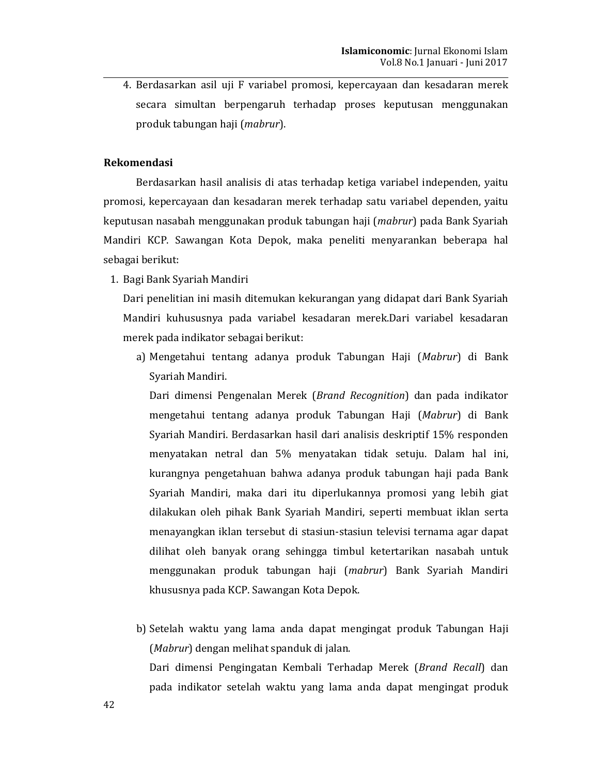4. Berdasarkan asil uji F variabel promosi, kepercayaan dan kesadaran merek secara simultan berpengaruh terhadap proses keputusan menggunakan produk tabungan haji (mabrur).

# **Rekomendasi**

Berdasarkan hasil analisis di atas terhadap ketiga variabel independen, yaitu promosi, kepercayaan dan kesadaran merek terhadap satu variabel dependen, yaitu keputusan nasabah menggunakan produk tabungan haji (mabrur) pada Bank Syariah Mandiri KCP. Sawangan Kota Depok, maka peneliti menyarankan beberapa hal sebagai berikut:

1. Bagi Bank Syariah Mandiri

Dari penelitian ini masih ditemukan kekurangan yang didapat dari Bank Syariah Mandiri kuhususnya pada variabel kesadaran merek.Dari variabel kesadaran merek pada indikator sebagai berikut:

a) Mengetahui tentang adanya produk Tabungan Haji (Mabrur) di Bank Syariah Mandiri.

Dari dimensi Pengenalan Merek (Brand Recognition) dan pada indikator mengetahui tentang adanya produk Tabungan Haji (Mabrur) di Bank Syariah Mandiri. Berdasarkan hasil dari analisis deskriptif 15% responden menyatakan netral dan 5% menyatakan tidak setuju. Dalam hal ini, kurangnya pengetahuan bahwa adanya produk tabungan haji pada Bank Syariah Mandiri, maka dari itu diperlukannya promosi yang lebih giat dilakukan oleh pihak Bank Syariah Mandiri, seperti membuat iklan serta menayangkan iklan tersebut di stasiun-stasiun televisi ternama agar dapat dilihat oleh banyak orang sehingga timbul ketertarikan nasabah untuk menggunakan produk tabungan haji (*mabrur*) Bank Syariah Mandiri khususnya pada KCP. Sawangan Kota Depok.

b) Setelah waktu yang lama anda dapat mengingat produk Tabungan Haji (Mabrur) dengan melihat spanduk di jalan. Dari dimensi Pengingatan Kembali Terhadap Merek (Brand Recall) dan pada indikator setelah waktu yang lama anda dapat mengingat produk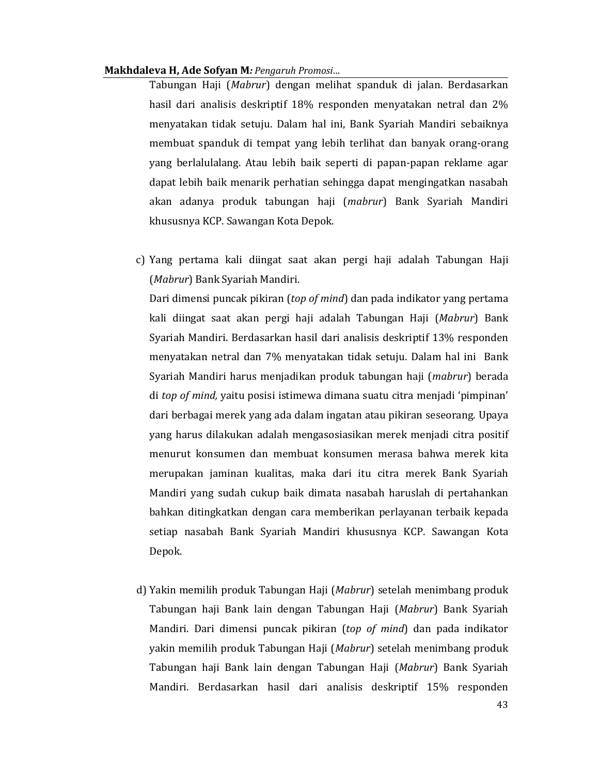Tabungan Haji (Mabrur) dengan melihat spanduk di jalan. Berdasarkan hasil dari analisis deskriptif 18% responden menyatakan netral dan 2% menyatakan tidak setuju. Dalam hal ini, Bank Syariah Mandiri sebaiknya membuat spanduk di tempat yang lebih terlihat dan banyak orang-orang yang berlalulalang. Atau lebih baik seperti di papan-papan reklame agar dapat lebih baik menarik perhatian sehingga dapat mengingatkan nasabah akan adanya produk tabungan haji (mabrur) Bank Syariah Mandiri khususnya KCP. Sawangan Kota Depok.

c) Yang pertama kali diingat saat akan pergi haji adalah Tabungan Haji (Mabrur) Bank Syariah Mandiri.

Dari dimensi puncak pikiran (top of mind) dan pada indikator yang pertama kali diingat saat akan pergi haji adalah Tabungan Haji (Mabrur) Bank Syariah Mandiri. Berdasarkan hasil dari analisis deskriptif 13% responden menyatakan netral dan 7% menyatakan tidak setuju. Dalam hal ini Bank Syariah Mandiri harus menjadikan produk tabungan haji (mabrur) berada di top of mind, yaitu posisi istimewa dimana suatu citra menjadi 'pimpinan' dari berbagai merek yang ada dalam ingatan atau pikiran seseorang. Upaya yang harus dilakukan adalah mengasosiasikan merek menjadi citra positif menurut konsumen dan membuat konsumen merasa bahwa merek kita merupakan jaminan kualitas, maka dari itu citra merek Bank Syariah Mandiri yang sudah cukup baik dimata nasabah haruslah di pertahankan bahkan ditingkatkan dengan cara memberikan perlayanan terbaik kepada setiap nasabah Bank Syariah Mandiri khususnya KCP. Sawangan Kota Depok.

d) Yakin memilih produk Tabungan Haji (Mabrur) setelah menimbang produk Tabungan haji Bank lain dengan Tabungan Haji (Mabrur) Bank Syariah Mandiri. Dari dimensi puncak pikiran (top of mind) dan pada indikator yakin memilih produk Tabungan Haji (Mabrur) setelah menimbang produk Tabungan haji Bank lain dengan Tabungan Haji (Mabrur) Bank Syariah Mandiri. Berdasarkan hasil dari analisis deskriptif 15% responden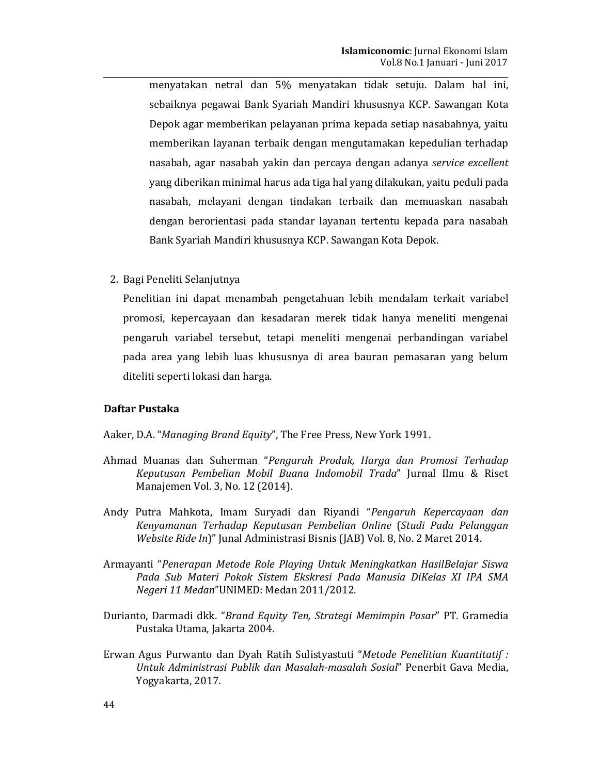menyatakan netral dan 5% menyatakan tidak setuju. Dalam hal ini, sebaiknya pegawai Bank Syariah Mandiri khususnya KCP. Sawangan Kota Depok agar memberikan pelayanan prima kepada setiap nasabahnya, yaitu memberikan layanan terbaik dengan mengutamakan kepedulian terhadap nasabah, agar nasabah yakin dan percaya dengan adanya service excellent yang diberikan minimal harus ada tiga hal yang dilakukan, yaitu peduli pada nasabah, melayani dengan tindakan terbaik dan memuaskan nasabah dengan berorientasi pada standar layanan tertentu kepada para nasabah Bank Syariah Mandiri khususnya KCP. Sawangan Kota Depok.

2. Bagi Peneliti Selanjutnya

Penelitian ini dapat menambah pengetahuan lebih mendalam terkait variabel promosi, kepercayaan dan kesadaran merek tidak hanya meneliti mengenai pengaruh variabel tersebut, tetapi meneliti mengenai perbandingan variabel pada area yang lebih luas khususnya di area bauran pemasaran yang belum diteliti seperti lokasi dan harga.

# Daftar Pustaka

# Aaker, D.A. "Managing Brand Equity", The Free Press, New York 1991.

- Ahmad Muanas dan Suherman "Pengaruh Produk, Harga dan Promosi Terhadap Keputusan Pembelian Mobil Buana Indomobil Trada" Jurnal Ilmu & Riset Manajemen Vol. 3, No. 12 (2014).
- Andy Putra Mahkota, Imam Suryadi dan Riyandi "Pengaruh Kepercayaan dan Kenyamanan Terhadap Keputusan Pembelian Online (Studi Pada Pelanggan Website Ride In)" Junal Administrasi Bisnis (JAB) Vol. 8, No. 2 Maret 2014.
- Armayanti "Penerapan Metode Role Playing Untuk Meningkatkan HasilBelajar Siswa Pada Sub Materi Pokok Sistem Ekskresi Pada Manusia DiKelas XI IPA SMA Negeri 11 Medan"UNIMED: Medan 2011/2012.
- Durianto, Darmadi dkk. "Brand Equity Ten, Strategi Memimpin Pasar" PT. Gramedia Pustaka Utama, Jakarta 2004.
- Erwan Agus Purwanto dan Dyah Ratih Sulistyastuti "Metode Penelitian Kuantitatif : Untuk Administrasi Publik dan Masalah-masalah Sosial" Penerbit Gava Media, Yogyakarta, 2017.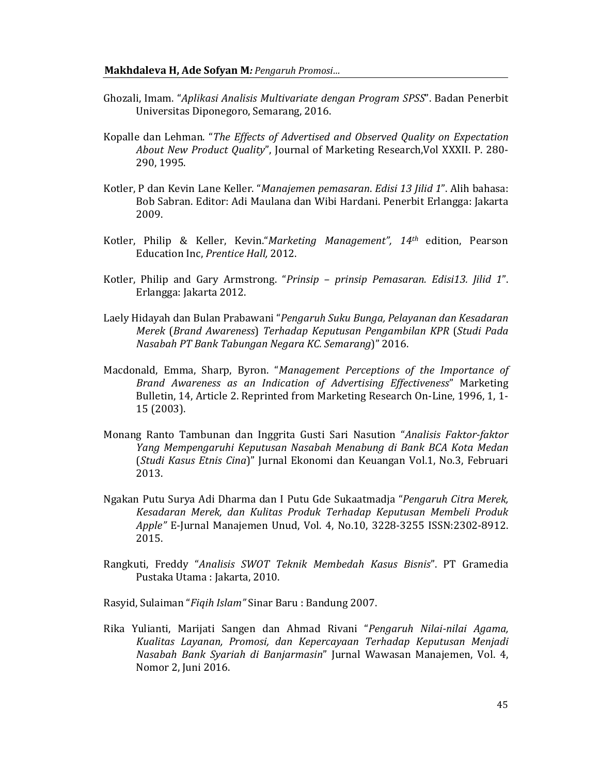- Ghozali, Imam. "Aplikasi Analisis Multivariate dengan Program SPSS". Badan Penerbit Universitas Diponegoro, Semarang, 2016.
- Kopalle dan Lehman. "The Effects of Advertised and Observed Quality on Expectation About New Product Quality", Journal of Marketing Research, Vol XXXII. P. 280-290, 1995.
- Kotler, P dan Kevin Lane Keller. "Manajemen pemasaran. Edisi 13 Jilid 1". Alih bahasa: Bob Sabran. Editor: Adi Maulana dan Wibi Hardani. Penerbit Erlangga: Jakarta 2009.
- Kotler, Philip & Keller, Kevin."Marketing Management", 14th edition, Pearson Education Inc, Prentice Hall, 2012.
- Kotler, Philip and Gary Armstrong. "Prinsip prinsip Pemasaran. Edisi13. Jilid 1". Erlangga: Jakarta 2012.
- Laely Hidayah dan Bulan Prabawani "Pengaruh Suku Bunga, Pelayanan dan Kesadaran Merek (Brand Awareness) Terhadap Keputusan Pengambilan KPR (Studi Pada Nasabah PT Bank Tabungan Negara KC. Semarang)" 2016.
- Macdonald, Emma, Sharp, Byron. "Management Perceptions of the Importance of Brand Awareness as an Indication of Advertising Effectiveness" Marketing Bulletin, 14, Article 2. Reprinted from Marketing Research On-Line, 1996, 1, 1-15 (2003).
- Monang Ranto Tambunan dan Inggrita Gusti Sari Nasution "Analisis Faktor-faktor Yang Mempengaruhi Keputusan Nasabah Menabung di Bank BCA Kota Medan (Studi Kasus Etnis Cina)" Jurnal Ekonomi dan Keuangan Vol.1, No.3, Februari 2013.
- Ngakan Putu Surya Adi Dharma dan I Putu Gde Sukaatmadja "Pengaruh Citra Merek, Kesadaran Merek, dan Kulitas Produk Terhadap Keputusan Membeli Produk Apple" E-Jurnal Manajemen Unud, Vol. 4, No.10, 3228-3255 ISSN:2302-8912. 2015.
- Rangkuti, Freddy "Analisis SWOT Teknik Membedah Kasus Bisnis". PT Gramedia Pustaka Utama: Jakarta, 2010.

Rasyid, Sulaiman "Figih Islam" Sinar Baru: Bandung 2007.

Rika Yulianti, Marijati Sangen dan Ahmad Rivani "Pengaruh Nilai-nilai Agama, Kualitas Layanan, Promosi, dan Kepercayaan Terhadap Keputusan Menjadi Nasabah Bank Syariah di Banjarmasin" Jurnal Wawasan Manajemen, Vol. 4, Nomor 2, Juni 2016.